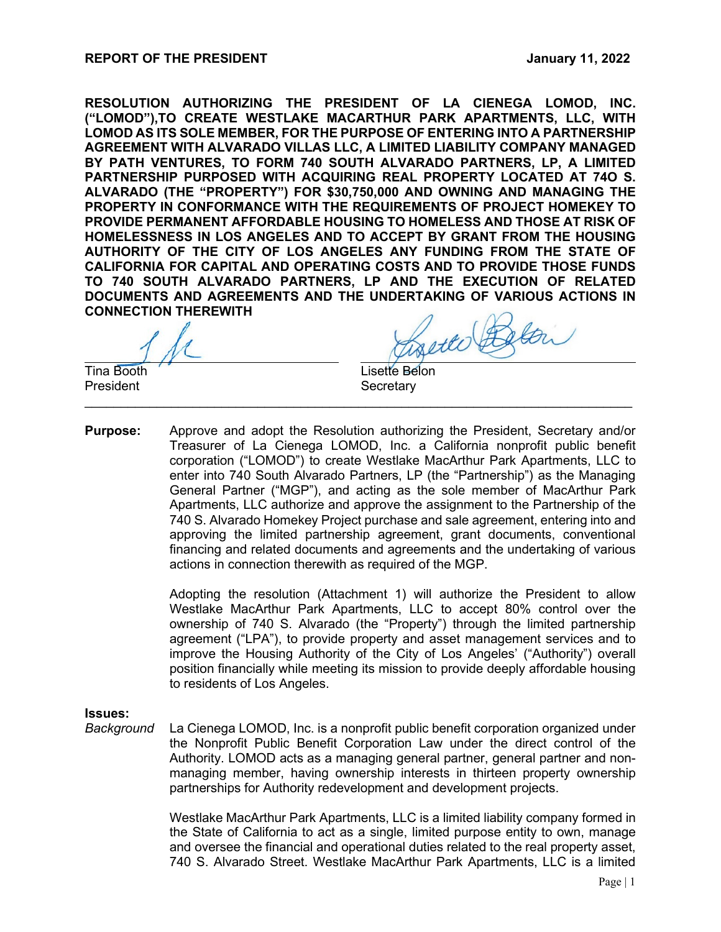**RESOLUTION AUTHORIZING THE PRESIDENT OF LA CIENEGA LOMOD, INC. ("LOMOD"),TO CREATE WESTLAKE MACARTHUR PARK APARTMENTS, LLC, WITH LOMOD AS ITS SOLE MEMBER, FOR THE PURPOSE OF ENTERING INTO A PARTNERSHIP AGREEMENT WITH ALVARADO VILLAS LLC, A LIMITED LIABILITY COMPANY MANAGED BY PATH VENTURES, TO FORM 740 SOUTH ALVARADO PARTNERS, LP, A LIMITED PARTNERSHIP PURPOSED WITH ACQUIRING REAL PROPERTY LOCATED AT 74O S. ALVARADO (THE "PROPERTY") FOR \$30,750,000 AND OWNING AND MANAGING THE PROPERTY IN CONFORMANCE WITH THE REQUIREMENTS OF PROJECT HOMEKEY TO PROVIDE PERMANENT AFFORDABLE HOUSING TO HOMELESS AND THOSE AT RISK OF HOMELESSNESS IN LOS ANGELES AND TO ACCEPT BY GRANT FROM THE HOUSING AUTHORITY OF THE CITY OF LOS ANGELES ANY FUNDING FROM THE STATE OF CALIFORNIA FOR CAPITAL AND OPERATING COSTS AND TO PROVIDE THOSE FUNDS TO 740 SOUTH ALVARADO PARTNERS, LP AND THE EXECUTION OF RELATED DOCUMENTS AND AGREEMENTS AND THE UNDERTAKING OF VARIOUS ACTIONS IN CONNECTION THEREWITH**

Tina Booth **Lisette** Belon President **Secretary** 

**Purpose:** Approve and adopt the Resolution authorizing the President, Secretary and/or Treasurer of La Cienega LOMOD, Inc. a California nonprofit public benefit corporation ("LOMOD") to create Westlake MacArthur Park Apartments, LLC to enter into 740 South Alvarado Partners, LP (the "Partnership") as the Managing General Partner ("MGP"), and acting as the sole member of MacArthur Park Apartments, LLC authorize and approve the assignment to the Partnership of the 740 S. Alvarado Homekey Project purchase and sale agreement, entering into and approving the limited partnership agreement, grant documents, conventional financing and related documents and agreements and the undertaking of various actions in connection therewith as required of the MGP.

 $\_$  , and the contribution of the contribution of  $\mathcal{L}$  , and  $\mathcal{L}$  , and  $\mathcal{L}$  , and  $\mathcal{L}$  , and  $\mathcal{L}$ 

Adopting the resolution (Attachment 1) will authorize the President to allow Westlake MacArthur Park Apartments, LLC to accept 80% control over the ownership of 740 S. Alvarado (the "Property") through the limited partnership agreement ("LPA"), to provide property and asset management services and to improve the Housing Authority of the City of Los Angeles' ("Authority") overall position financially while meeting its mission to provide deeply affordable housing to residents of Los Angeles.

#### **Issues:**

*Background* La Cienega LOMOD, Inc. is a nonprofit public benefit corporation organized under the Nonprofit Public Benefit Corporation Law under the direct control of the Authority. LOMOD acts as a managing general partner, general partner and nonmanaging member, having ownership interests in thirteen property ownership partnerships for Authority redevelopment and development projects.

> Westlake MacArthur Park Apartments, LLC is a limited liability company formed in the State of California to act as a single, limited purpose entity to own, manage and oversee the financial and operational duties related to the real property asset, 740 S. Alvarado Street. Westlake MacArthur Park Apartments, LLC is a limited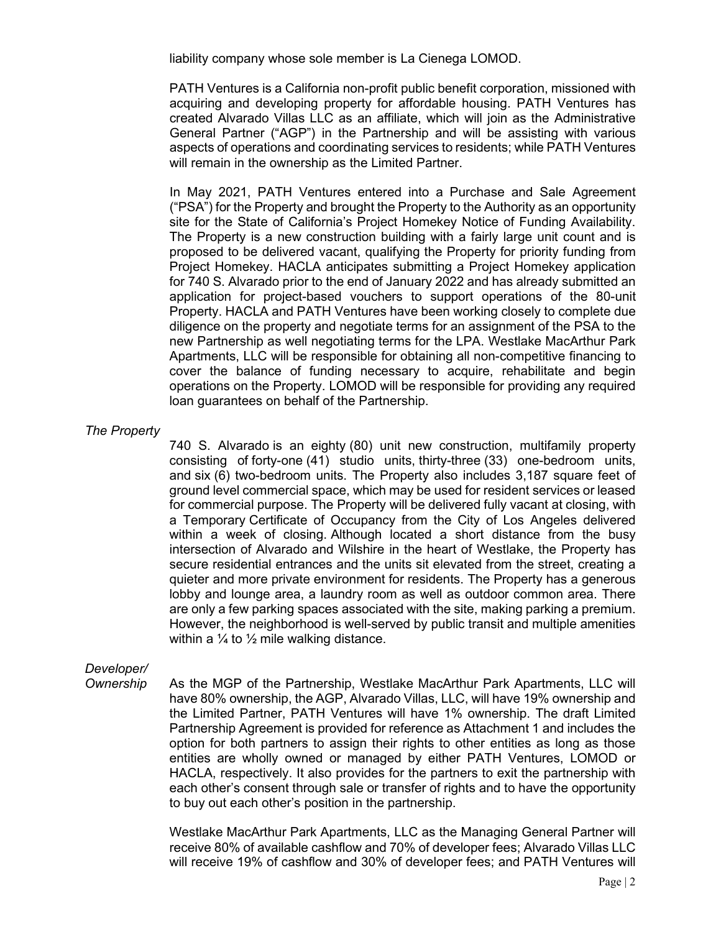liability company whose sole member is La Cienega LOMOD.

PATH Ventures is a California non-profit public benefit corporation, missioned with acquiring and developing property for affordable housing. PATH Ventures has created Alvarado Villas LLC as an affiliate, which will join as the Administrative General Partner ("AGP") in the Partnership and will be assisting with various aspects of operations and coordinating services to residents; while PATH Ventures will remain in the ownership as the Limited Partner.

In May 2021, PATH Ventures entered into a Purchase and Sale Agreement ("PSA") for the Property and brought the Property to the Authority as an opportunity site for the State of California's Project Homekey Notice of Funding Availability. The Property is a new construction building with a fairly large unit count and is proposed to be delivered vacant, qualifying the Property for priority funding from Project Homekey. HACLA anticipates submitting a Project Homekey application for 740 S. Alvarado prior to the end of January 2022 and has already submitted an application for project-based vouchers to support operations of the 80-unit Property. HACLA and PATH Ventures have been working closely to complete due diligence on the property and negotiate terms for an assignment of the PSA to the new Partnership as well negotiating terms for the LPA. Westlake MacArthur Park Apartments, LLC will be responsible for obtaining all non-competitive financing to cover the balance of funding necessary to acquire, rehabilitate and begin operations on the Property. LOMOD will be responsible for providing any required loan guarantees on behalf of the Partnership.

#### *The Property*

740 S. Alvarado is an eighty (80) unit new construction, multifamily property consisting of forty-one (41) studio units, thirty-three (33) one-bedroom units, and six (6) two-bedroom units. The Property also includes 3,187 square feet of ground level commercial space, which may be used for resident services or leased for commercial purpose. The Property will be delivered fully vacant at closing, with a Temporary Certificate of Occupancy from the City of Los Angeles delivered within a week of closing. Although located a short distance from the busy intersection of Alvarado and Wilshire in the heart of Westlake, the Property has secure residential entrances and the units sit elevated from the street, creating a quieter and more private environment for residents. The Property has a generous lobby and lounge area, a laundry room as well as outdoor common area. There are only a few parking spaces associated with the site, making parking a premium. However, the neighborhood is well-served by public transit and multiple amenities within a  $\frac{1}{4}$  to  $\frac{1}{2}$  mile walking distance.

## *Developer/*

*Ownership* As the MGP of the Partnership, Westlake MacArthur Park Apartments, LLC will have 80% ownership, the AGP, Alvarado Villas, LLC, will have 19% ownership and the Limited Partner, PATH Ventures will have 1% ownership. The draft Limited Partnership Agreement is provided for reference as Attachment 1 and includes the option for both partners to assign their rights to other entities as long as those entities are wholly owned or managed by either PATH Ventures, LOMOD or HACLA, respectively. It also provides for the partners to exit the partnership with each other's consent through sale or transfer of rights and to have the opportunity to buy out each other's position in the partnership.

> Westlake MacArthur Park Apartments, LLC as the Managing General Partner will receive 80% of available cashflow and 70% of developer fees; Alvarado Villas LLC will receive 19% of cashflow and 30% of developer fees; and PATH Ventures will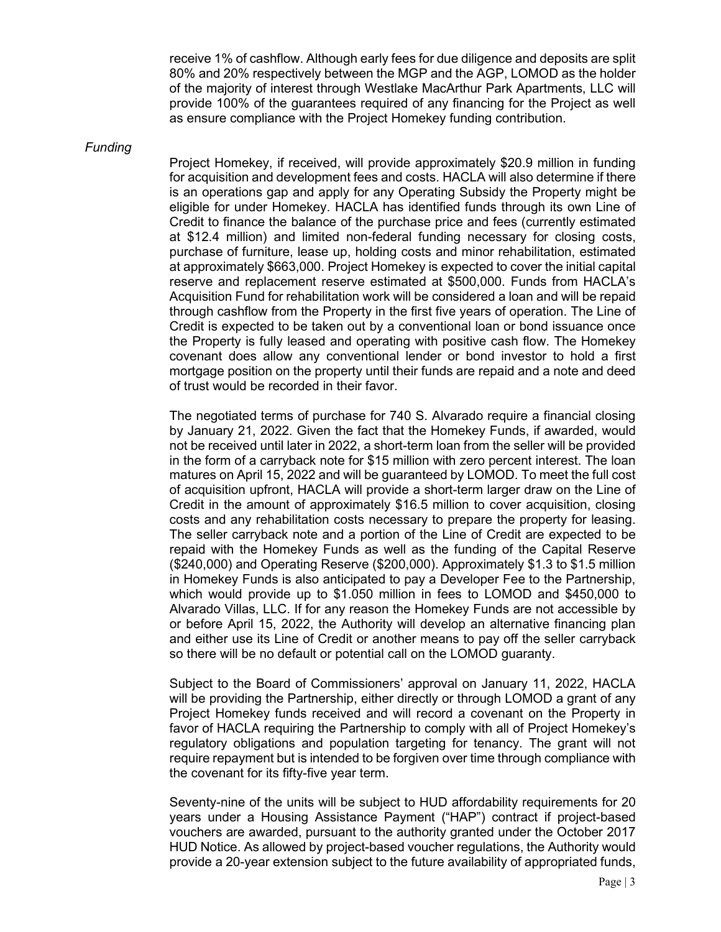receive 1% of cashflow. Although early fees for due diligence and deposits are split 80% and 20% respectively between the MGP and the AGP, LOMOD as the holder of the majority of interest through Westlake MacArthur Park Apartments, LLC will provide 100% of the guarantees required of any financing for the Project as well as ensure compliance with the Project Homekey funding contribution.

#### *Funding*

Project Homekey, if received, will provide approximately \$20.9 million in funding for acquisition and development fees and costs. HACLA will also determine if there is an operations gap and apply for any Operating Subsidy the Property might be eligible for under Homekey. HACLA has identified funds through its own Line of Credit to finance the balance of the purchase price and fees (currently estimated at \$12.4 million) and limited non-federal funding necessary for closing costs, purchase of furniture, lease up, holding costs and minor rehabilitation, estimated at approximately \$663,000. Project Homekey is expected to cover the initial capital reserve and replacement reserve estimated at \$500,000. Funds from HACLA's Acquisition Fund for rehabilitation work will be considered a loan and will be repaid through cashflow from the Property in the first five years of operation. The Line of Credit is expected to be taken out by a conventional loan or bond issuance once the Property is fully leased and operating with positive cash flow. The Homekey covenant does allow any conventional lender or bond investor to hold a first mortgage position on the property until their funds are repaid and a note and deed of trust would be recorded in their favor.

The negotiated terms of purchase for 740 S. Alvarado require a financial closing by January 21, 2022. Given the fact that the Homekey Funds, if awarded, would not be received until later in 2022, a short-term loan from the seller will be provided in the form of a carryback note for \$15 million with zero percent interest. The loan matures on April 15, 2022 and will be guaranteed by LOMOD. To meet the full cost of acquisition upfront, HACLA will provide a short-term larger draw on the Line of Credit in the amount of approximately \$16.5 million to cover acquisition, closing costs and any rehabilitation costs necessary to prepare the property for leasing. The seller carryback note and a portion of the Line of Credit are expected to be repaid with the Homekey Funds as well as the funding of the Capital Reserve (\$240,000) and Operating Reserve (\$200,000). Approximately \$1.3 to \$1.5 million in Homekey Funds is also anticipated to pay a Developer Fee to the Partnership, which would provide up to \$1.050 million in fees to LOMOD and \$450,000 to Alvarado Villas, LLC. If for any reason the Homekey Funds are not accessible by or before April 15, 2022, the Authority will develop an alternative financing plan and either use its Line of Credit or another means to pay off the seller carryback so there will be no default or potential call on the LOMOD guaranty.

Subject to the Board of Commissioners' approval on January 11, 2022, HACLA will be providing the Partnership, either directly or through LOMOD a grant of any Project Homekey funds received and will record a covenant on the Property in favor of HACLA requiring the Partnership to comply with all of Project Homekey's regulatory obligations and population targeting for tenancy. The grant will not require repayment but is intended to be forgiven over time through compliance with the covenant for its fifty-five year term.

Seventy-nine of the units will be subject to HUD affordability requirements for 20 years under a Housing Assistance Payment ("HAP") contract if project-based vouchers are awarded, pursuant to the authority granted under the October 2017 HUD Notice. As allowed by project-based voucher regulations, the Authority would provide a 20-year extension subject to the future availability of appropriated funds,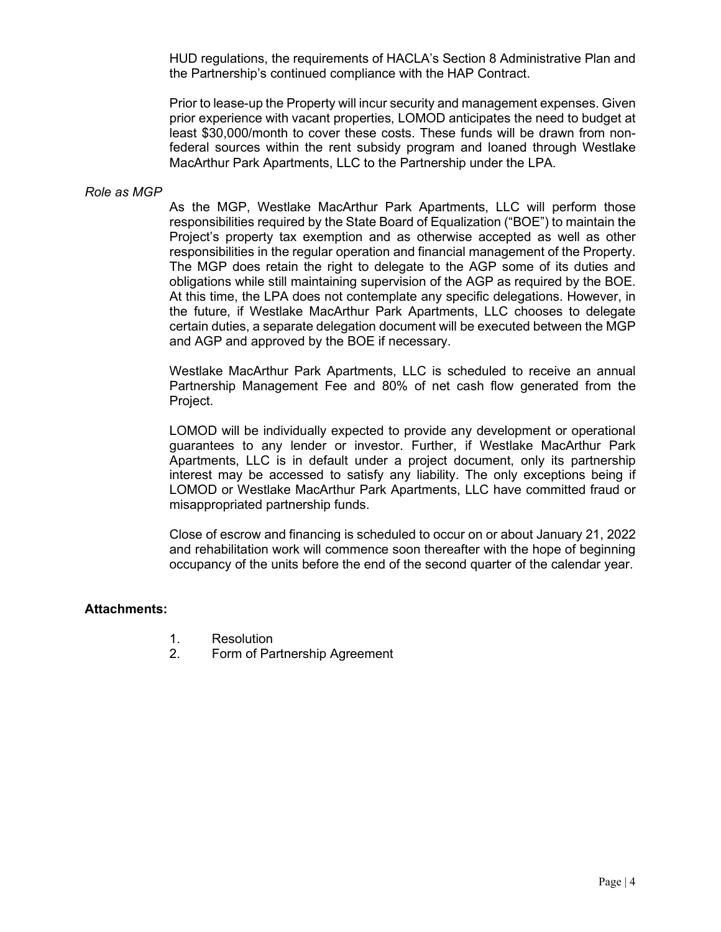HUD regulations, the requirements of HACLA's Section 8 Administrative Plan and the Partnership's continued compliance with the HAP Contract.

Prior to lease-up the Property will incur security and management expenses. Given prior experience with vacant properties, LOMOD anticipates the need to budget at least \$30,000/month to cover these costs. These funds will be drawn from nonfederal sources within the rent subsidy program and loaned through Westlake MacArthur Park Apartments, LLC to the Partnership under the LPA.

#### *Role as MGP*

As the MGP, Westlake MacArthur Park Apartments, LLC will perform those responsibilities required by the State Board of Equalization ("BOE") to maintain the Project's property tax exemption and as otherwise accepted as well as other responsibilities in the regular operation and financial management of the Property. The MGP does retain the right to delegate to the AGP some of its duties and obligations while still maintaining supervision of the AGP as required by the BOE. At this time, the LPA does not contemplate any specific delegations. However, in the future, if Westlake MacArthur Park Apartments, LLC chooses to delegate certain duties, a separate delegation document will be executed between the MGP and AGP and approved by the BOE if necessary.

Westlake MacArthur Park Apartments, LLC is scheduled to receive an annual Partnership Management Fee and 80% of net cash flow generated from the Project.

LOMOD will be individually expected to provide any development or operational guarantees to any lender or investor. Further, if Westlake MacArthur Park Apartments, LLC is in default under a project document, only its partnership interest may be accessed to satisfy any liability. The only exceptions being if LOMOD or Westlake MacArthur Park Apartments, LLC have committed fraud or misappropriated partnership funds.

Close of escrow and financing is scheduled to occur on or about January 21, 2022 and rehabilitation work will commence soon thereafter with the hope of beginning occupancy of the units before the end of the second quarter of the calendar year.

#### **Attachments:**

- 1. Resolution
- 2. Form of Partnership Agreement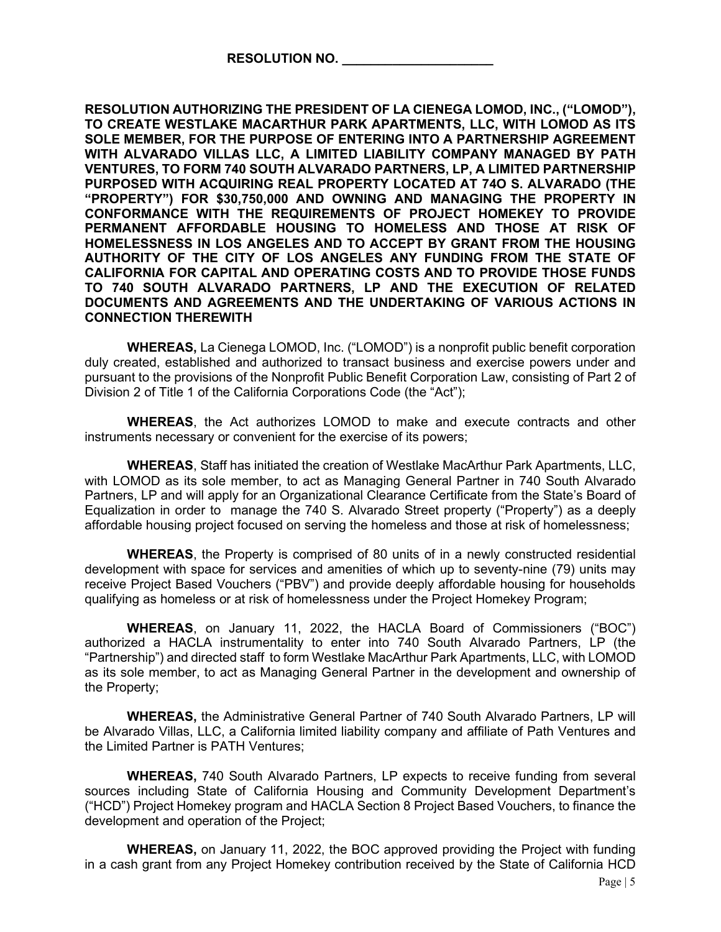**RESOLUTION AUTHORIZING THE PRESIDENT OF LA CIENEGA LOMOD, INC., ("LOMOD"), TO CREATE WESTLAKE MACARTHUR PARK APARTMENTS, LLC, WITH LOMOD AS ITS SOLE MEMBER, FOR THE PURPOSE OF ENTERING INTO A PARTNERSHIP AGREEMENT WITH ALVARADO VILLAS LLC, A LIMITED LIABILITY COMPANY MANAGED BY PATH VENTURES, TO FORM 740 SOUTH ALVARADO PARTNERS, LP, A LIMITED PARTNERSHIP PURPOSED WITH ACQUIRING REAL PROPERTY LOCATED AT 74O S. ALVARADO (THE "PROPERTY") FOR \$30,750,000 AND OWNING AND MANAGING THE PROPERTY IN CONFORMANCE WITH THE REQUIREMENTS OF PROJECT HOMEKEY TO PROVIDE PERMANENT AFFORDABLE HOUSING TO HOMELESS AND THOSE AT RISK OF HOMELESSNESS IN LOS ANGELES AND TO ACCEPT BY GRANT FROM THE HOUSING AUTHORITY OF THE CITY OF LOS ANGELES ANY FUNDING FROM THE STATE OF CALIFORNIA FOR CAPITAL AND OPERATING COSTS AND TO PROVIDE THOSE FUNDS TO 740 SOUTH ALVARADO PARTNERS, LP AND THE EXECUTION OF RELATED DOCUMENTS AND AGREEMENTS AND THE UNDERTAKING OF VARIOUS ACTIONS IN CONNECTION THEREWITH**

**WHEREAS,** La Cienega LOMOD, Inc. ("LOMOD") is a nonprofit public benefit corporation duly created, established and authorized to transact business and exercise powers under and pursuant to the provisions of the Nonprofit Public Benefit Corporation Law, consisting of Part 2 of Division 2 of Title 1 of the California Corporations Code (the "Act");

**WHEREAS**, the Act authorizes LOMOD to make and execute contracts and other instruments necessary or convenient for the exercise of its powers;

**WHEREAS**, Staff has initiated the creation of Westlake MacArthur Park Apartments, LLC, with LOMOD as its sole member, to act as Managing General Partner in 740 South Alvarado Partners, LP and will apply for an Organizational Clearance Certificate from the State's Board of Equalization in order to manage the 740 S. Alvarado Street property ("Property") as a deeply affordable housing project focused on serving the homeless and those at risk of homelessness;

**WHEREAS**, the Property is comprised of 80 units of in a newly constructed residential development with space for services and amenities of which up to seventy-nine (79) units may receive Project Based Vouchers ("PBV") and provide deeply affordable housing for households qualifying as homeless or at risk of homelessness under the Project Homekey Program;

**WHEREAS**, on January 11, 2022, the HACLA Board of Commissioners ("BOC") authorized a HACLA instrumentality to enter into 740 South Alvarado Partners, LP (the "Partnership") and directed staff to form Westlake MacArthur Park Apartments, LLC, with LOMOD as its sole member, to act as Managing General Partner in the development and ownership of the Property;

**WHEREAS,** the Administrative General Partner of 740 South Alvarado Partners, LP will be Alvarado Villas, LLC, a California limited liability company and affiliate of Path Ventures and the Limited Partner is PATH Ventures;

**WHEREAS,** 740 South Alvarado Partners, LP expects to receive funding from several sources including State of California Housing and Community Development Department's ("HCD") Project Homekey program and HACLA Section 8 Project Based Vouchers, to finance the development and operation of the Project;

**WHEREAS,** on January 11, 2022, the BOC approved providing the Project with funding in a cash grant from any Project Homekey contribution received by the State of California HCD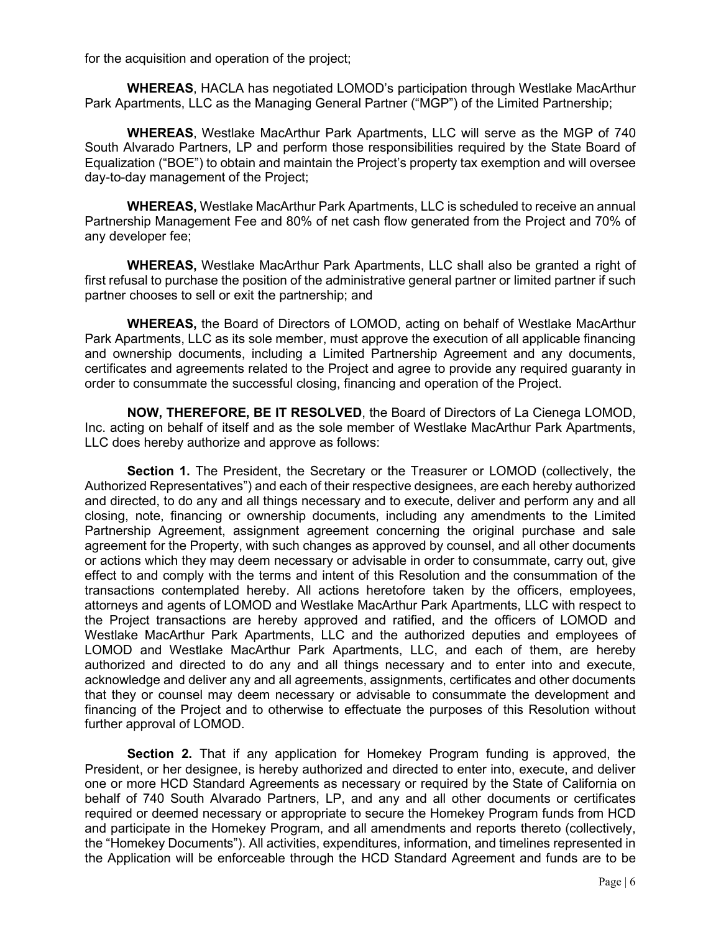for the acquisition and operation of the project;

**WHEREAS**, HACLA has negotiated LOMOD's participation through Westlake MacArthur Park Apartments, LLC as the Managing General Partner ("MGP") of the Limited Partnership;

**WHEREAS**, Westlake MacArthur Park Apartments, LLC will serve as the MGP of 740 South Alvarado Partners, LP and perform those responsibilities required by the State Board of Equalization ("BOE") to obtain and maintain the Project's property tax exemption and will oversee day-to-day management of the Project;

**WHEREAS,** Westlake MacArthur Park Apartments, LLC is scheduled to receive an annual Partnership Management Fee and 80% of net cash flow generated from the Project and 70% of any developer fee;

**WHEREAS,** Westlake MacArthur Park Apartments, LLC shall also be granted a right of first refusal to purchase the position of the administrative general partner or limited partner if such partner chooses to sell or exit the partnership; and

**WHEREAS,** the Board of Directors of LOMOD, acting on behalf of Westlake MacArthur Park Apartments, LLC as its sole member, must approve the execution of all applicable financing and ownership documents, including a Limited Partnership Agreement and any documents, certificates and agreements related to the Project and agree to provide any required guaranty in order to consummate the successful closing, financing and operation of the Project.

**NOW, THEREFORE, BE IT RESOLVED**, the Board of Directors of La Cienega LOMOD, Inc. acting on behalf of itself and as the sole member of Westlake MacArthur Park Apartments, LLC does hereby authorize and approve as follows:

**Section 1.** The President, the Secretary or the Treasurer or LOMOD (collectively, the Authorized Representatives") and each of their respective designees, are each hereby authorized and directed, to do any and all things necessary and to execute, deliver and perform any and all closing, note, financing or ownership documents, including any amendments to the Limited Partnership Agreement, assignment agreement concerning the original purchase and sale agreement for the Property, with such changes as approved by counsel, and all other documents or actions which they may deem necessary or advisable in order to consummate, carry out, give effect to and comply with the terms and intent of this Resolution and the consummation of the transactions contemplated hereby. All actions heretofore taken by the officers, employees, attorneys and agents of LOMOD and Westlake MacArthur Park Apartments, LLC with respect to the Project transactions are hereby approved and ratified, and the officers of LOMOD and Westlake MacArthur Park Apartments, LLC and the authorized deputies and employees of LOMOD and Westlake MacArthur Park Apartments, LLC, and each of them, are hereby authorized and directed to do any and all things necessary and to enter into and execute, acknowledge and deliver any and all agreements, assignments, certificates and other documents that they or counsel may deem necessary or advisable to consummate the development and financing of the Project and to otherwise to effectuate the purposes of this Resolution without further approval of LOMOD.

**Section 2.** That if any application for Homekey Program funding is approved, the President, or her designee, is hereby authorized and directed to enter into, execute, and deliver one or more HCD Standard Agreements as necessary or required by the State of California on behalf of 740 South Alvarado Partners, LP, and any and all other documents or certificates required or deemed necessary or appropriate to secure the Homekey Program funds from HCD and participate in the Homekey Program, and all amendments and reports thereto (collectively, the "Homekey Documents"). All activities, expenditures, information, and timelines represented in the Application will be enforceable through the HCD Standard Agreement and funds are to be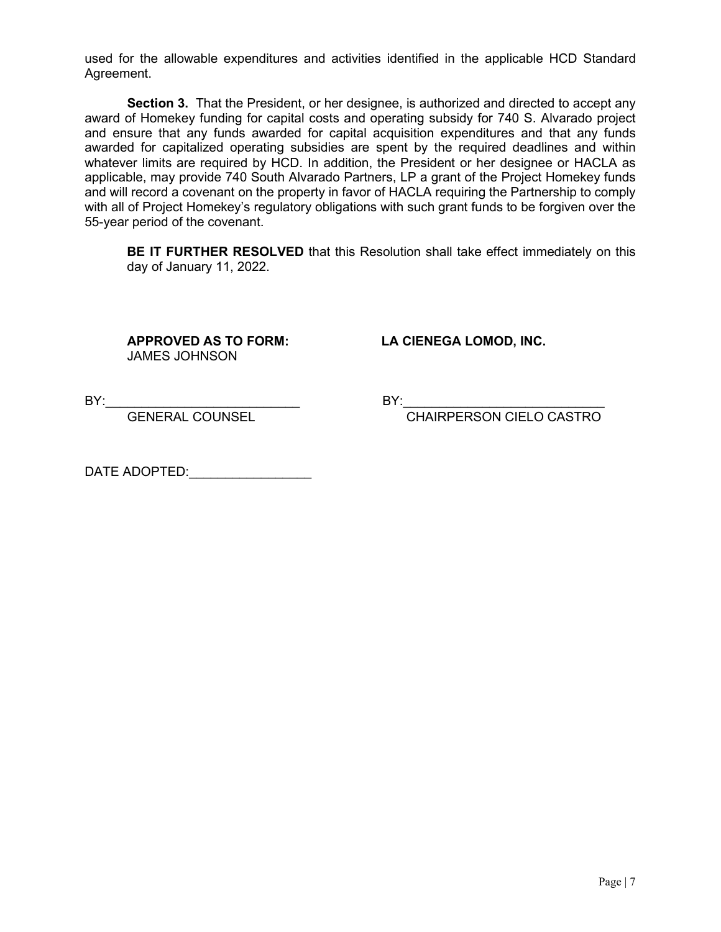used for the allowable expenditures and activities identified in the applicable HCD Standard Agreement.

**Section 3.** That the President, or her designee, is authorized and directed to accept any award of Homekey funding for capital costs and operating subsidy for 740 S. Alvarado project and ensure that any funds awarded for capital acquisition expenditures and that any funds awarded for capitalized operating subsidies are spent by the required deadlines and within whatever limits are required by HCD. In addition, the President or her designee or HACLA as applicable, may provide 740 South Alvarado Partners, LP a grant of the Project Homekey funds and will record a covenant on the property in favor of HACLA requiring the Partnership to comply with all of Project Homekey's regulatory obligations with such grant funds to be forgiven over the 55-year period of the covenant.

**BE IT FURTHER RESOLVED** that this Resolution shall take effect immediately on this day of January 11, 2022.

JAMES JOHNSON

**APPROVED AS TO FORM: LA CIENEGA LOMOD, INC.**

BY:\_\_\_\_\_\_\_\_\_\_\_\_\_\_\_\_\_\_\_\_\_\_\_\_\_\_\_ BY:\_\_\_\_\_\_\_\_\_\_\_\_\_\_\_\_\_\_\_\_\_\_\_\_\_\_\_\_

CHAIRPERSON CIELO CASTRO

DATE ADOPTED: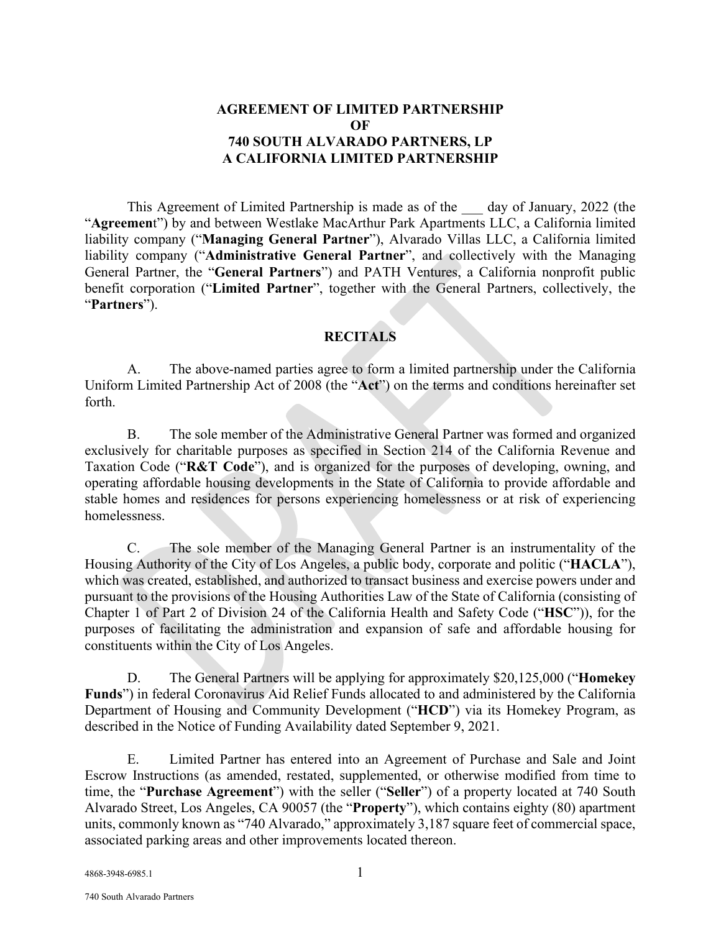## **AGREEMENT OF LIMITED PARTNERSHIP OF 740 SOUTH ALVARADO PARTNERS, LP A CALIFORNIA LIMITED PARTNERSHIP**

This Agreement of Limited Partnership is made as of the day of January, 2022 (the "**Agreemen**t") by and between Westlake MacArthur Park Apartments LLC, a California limited liability company ("**Managing General Partner**"), Alvarado Villas LLC, a California limited liability company ("**Administrative General Partner**", and collectively with the Managing General Partner, the "**General Partners**") and PATH Ventures, a California nonprofit public benefit corporation ("**Limited Partner**", together with the General Partners, collectively, the "**Partners**").

# **RECITALS**

A. The above-named parties agree to form a limited partnership under the California Uniform Limited Partnership Act of 2008 (the "**Act**") on the terms and conditions hereinafter set forth.

B. The sole member of the Administrative General Partner was formed and organized exclusively for charitable purposes as specified in Section 214 of the California Revenue and Taxation Code ("**R&T Code**"), and is organized for the purposes of developing, owning, and operating affordable housing developments in the State of California to provide affordable and stable homes and residences for persons experiencing homelessness or at risk of experiencing homelessness.

C. The sole member of the Managing General Partner is an instrumentality of the Housing Authority of the City of Los Angeles, a public body, corporate and politic ("**HACLA**"), which was created, established, and authorized to transact business and exercise powers under and pursuant to the provisions of the Housing Authorities Law of the State of California (consisting of Chapter 1 of Part 2 of Division 24 of the California Health and Safety Code ("**HSC**")), for the purposes of facilitating the administration and expansion of safe and affordable housing for constituents within the City of Los Angeles.

D. The General Partners will be applying for approximately \$20,125,000 ("**Homekey Funds**") in federal Coronavirus Aid Relief Funds allocated to and administered by the California Department of Housing and Community Development ("**HCD**") via its Homekey Program, as described in the Notice of Funding Availability dated September 9, 2021.

E. Limited Partner has entered into an Agreement of Purchase and Sale and Joint Escrow Instructions (as amended, restated, supplemented, or otherwise modified from time to time, the "**Purchase Agreement**") with the seller ("**Seller**") of a property located at 740 South Alvarado Street, Los Angeles, CA 90057 (the "**Property**"), which contains eighty (80) apartment units, commonly known as "740 Alvarado," approximately 3,187 square feet of commercial space, associated parking areas and other improvements located thereon.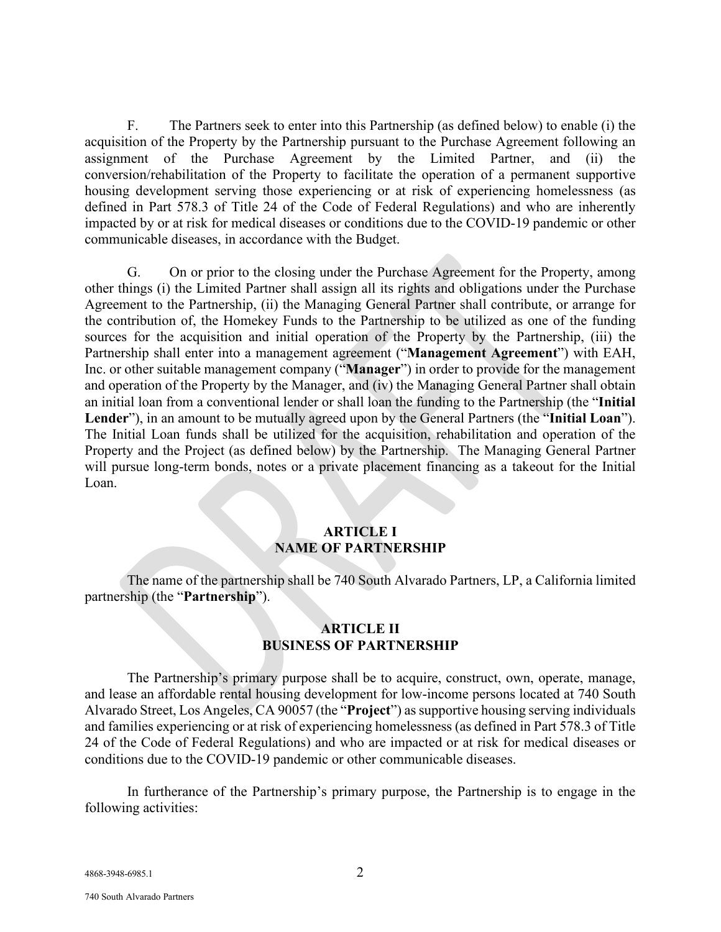F. The Partners seek to enter into this Partnership (as defined below) to enable (i) the acquisition of the Property by the Partnership pursuant to the Purchase Agreement following an assignment of the Purchase Agreement by the Limited Partner, and (ii) the conversion/rehabilitation of the Property to facilitate the operation of a permanent supportive housing development serving those experiencing or at risk of experiencing homelessness (as defined in Part 578.3 of Title 24 of the Code of Federal Regulations) and who are inherently impacted by or at risk for medical diseases or conditions due to the COVID-19 pandemic or other communicable diseases, in accordance with the Budget.

G. On or prior to the closing under the Purchase Agreement for the Property, among other things (i) the Limited Partner shall assign all its rights and obligations under the Purchase Agreement to the Partnership, (ii) the Managing General Partner shall contribute, or arrange for the contribution of, the Homekey Funds to the Partnership to be utilized as one of the funding sources for the acquisition and initial operation of the Property by the Partnership, (iii) the Partnership shall enter into a management agreement ("**Management Agreement**") with EAH, Inc. or other suitable management company ("**Manager**") in order to provide for the management and operation of the Property by the Manager, and (iv) the Managing General Partner shall obtain an initial loan from a conventional lender or shall loan the funding to the Partnership (the "**Initial Lender**"), in an amount to be mutually agreed upon by the General Partners (the "**Initial Loan**"). The Initial Loan funds shall be utilized for the acquisition, rehabilitation and operation of the Property and the Project (as defined below) by the Partnership. The Managing General Partner will pursue long-term bonds, notes or a private placement financing as a takeout for the Initial Loan.

#### **ARTICLE I NAME OF PARTNERSHIP**

The name of the partnership shall be 740 South Alvarado Partners, LP, a California limited partnership (the "**Partnership**").

#### **ARTICLE II BUSINESS OF PARTNERSHIP**

The Partnership's primary purpose shall be to acquire, construct, own, operate, manage, and lease an affordable rental housing development for low-income persons located at 740 South Alvarado Street, Los Angeles, CA 90057 (the "**Project**") as supportive housing serving individuals and families experiencing or at risk of experiencing homelessness (as defined in Part 578.3 of Title 24 of the Code of Federal Regulations) and who are impacted or at risk for medical diseases or conditions due to the COVID-19 pandemic or other communicable diseases.

In furtherance of the Partnership's primary purpose, the Partnership is to engage in the following activities:

4868-3948-6985.1 2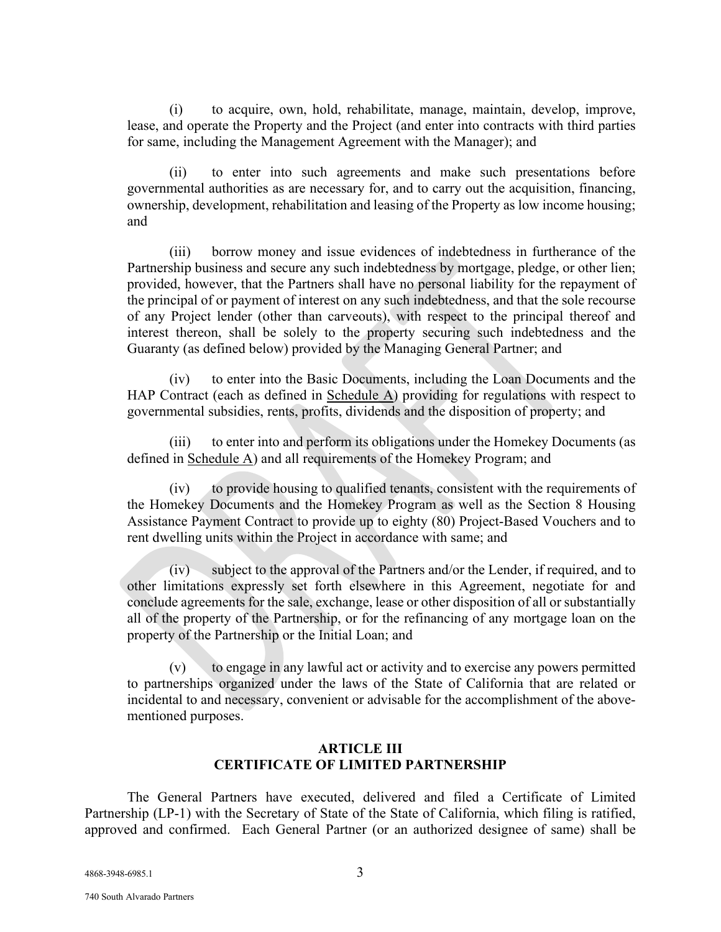(i) to acquire, own, hold, rehabilitate, manage, maintain, develop, improve, lease, and operate the Property and the Project (and enter into contracts with third parties for same, including the Management Agreement with the Manager); and

(ii) to enter into such agreements and make such presentations before governmental authorities as are necessary for, and to carry out the acquisition, financing, ownership, development, rehabilitation and leasing of the Property as low income housing; and

(iii) borrow money and issue evidences of indebtedness in furtherance of the Partnership business and secure any such indebtedness by mortgage, pledge, or other lien; provided, however, that the Partners shall have no personal liability for the repayment of the principal of or payment of interest on any such indebtedness, and that the sole recourse of any Project lender (other than carveouts), with respect to the principal thereof and interest thereon, shall be solely to the property securing such indebtedness and the Guaranty (as defined below) provided by the Managing General Partner; and

(iv) to enter into the Basic Documents, including the Loan Documents and the HAP Contract (each as defined in Schedule A) providing for regulations with respect to governmental subsidies, rents, profits, dividends and the disposition of property; and

(iii) to enter into and perform its obligations under the Homekey Documents (as defined in Schedule A) and all requirements of the Homekey Program; and

(iv) to provide housing to qualified tenants, consistent with the requirements of the Homekey Documents and the Homekey Program as well as the Section 8 Housing Assistance Payment Contract to provide up to eighty (80) Project-Based Vouchers and to rent dwelling units within the Project in accordance with same; and

(iv) subject to the approval of the Partners and/or the Lender, if required, and to other limitations expressly set forth elsewhere in this Agreement, negotiate for and conclude agreements for the sale, exchange, lease or other disposition of all or substantially all of the property of the Partnership, or for the refinancing of any mortgage loan on the property of the Partnership or the Initial Loan; and

to engage in any lawful act or activity and to exercise any powers permitted to partnerships organized under the laws of the State of California that are related or incidental to and necessary, convenient or advisable for the accomplishment of the abovementioned purposes.

## **ARTICLE III CERTIFICATE OF LIMITED PARTNERSHIP**

The General Partners have executed, delivered and filed a Certificate of Limited Partnership (LP-1) with the Secretary of State of the State of California, which filing is ratified, approved and confirmed. Each General Partner (or an authorized designee of same) shall be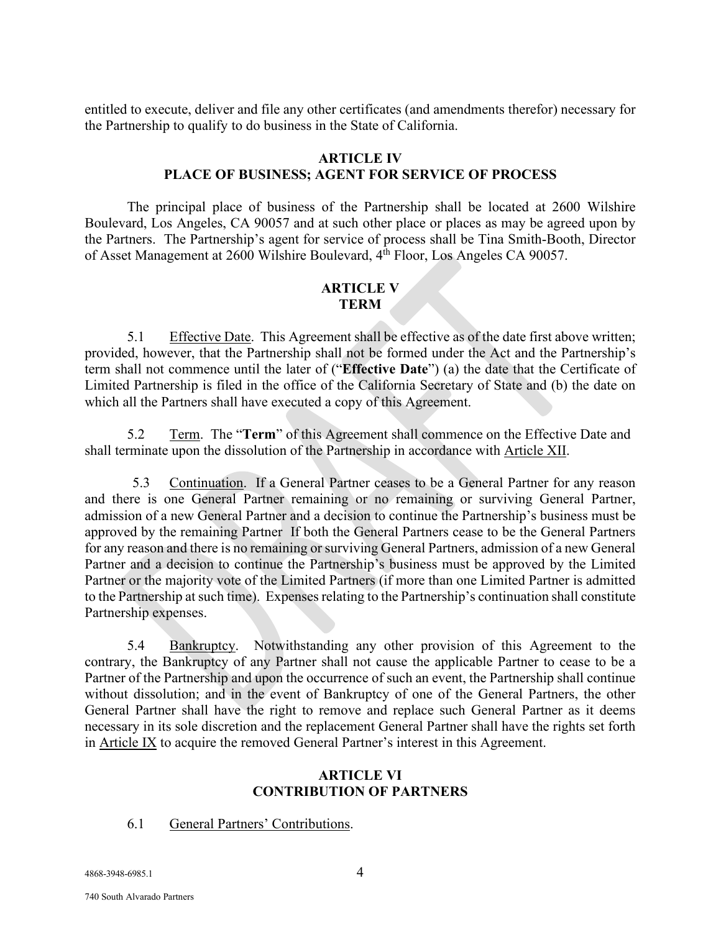entitled to execute, deliver and file any other certificates (and amendments therefor) necessary for the Partnership to qualify to do business in the State of California.

#### **ARTICLE IV**

## **PLACE OF BUSINESS; AGENT FOR SERVICE OF PROCESS**

The principal place of business of the Partnership shall be located at 2600 Wilshire Boulevard, Los Angeles, CA 90057 and at such other place or places as may be agreed upon by the Partners. The Partnership's agent for service of process shall be Tina Smith-Booth, Director of Asset Management at  $2600$  Wilshire Boulevard,  $4^{\text{th}}$  Floor, Los Angeles CA 90057.

## **ARTICLE V TERM**

5.1 Effective Date. This Agreement shall be effective as of the date first above written; provided, however, that the Partnership shall not be formed under the Act and the Partnership's term shall not commence until the later of ("**Effective Date**") (a) the date that the Certificate of Limited Partnership is filed in the office of the California Secretary of State and (b) the date on which all the Partners shall have executed a copy of this Agreement.

5.2 Term. The "**Term**" of this Agreement shall commence on the Effective Date and shall terminate upon the dissolution of the Partnership in accordance with Article XII.

5.3 Continuation. If a General Partner ceases to be a General Partner for any reason and there is one General Partner remaining or no remaining or surviving General Partner, admission of a new General Partner and a decision to continue the Partnership's business must be approved by the remaining Partner If both the General Partners cease to be the General Partners for any reason and there is no remaining or surviving General Partners, admission of a new General Partner and a decision to continue the Partnership's business must be approved by the Limited Partner or the majority vote of the Limited Partners (if more than one Limited Partner is admitted to the Partnership at such time). Expenses relating to the Partnership's continuation shall constitute Partnership expenses.

5.4 Bankruptcy. Notwithstanding any other provision of this Agreement to the contrary, the Bankruptcy of any Partner shall not cause the applicable Partner to cease to be a Partner of the Partnership and upon the occurrence of such an event, the Partnership shall continue without dissolution; and in the event of Bankruptcy of one of the General Partners, the other General Partner shall have the right to remove and replace such General Partner as it deems necessary in its sole discretion and the replacement General Partner shall have the rights set forth in Article IX to acquire the removed General Partner's interest in this Agreement.

#### **ARTICLE VI CONTRIBUTION OF PARTNERS**

#### 6.1 General Partners' Contributions.

4868-3948-6985.1 4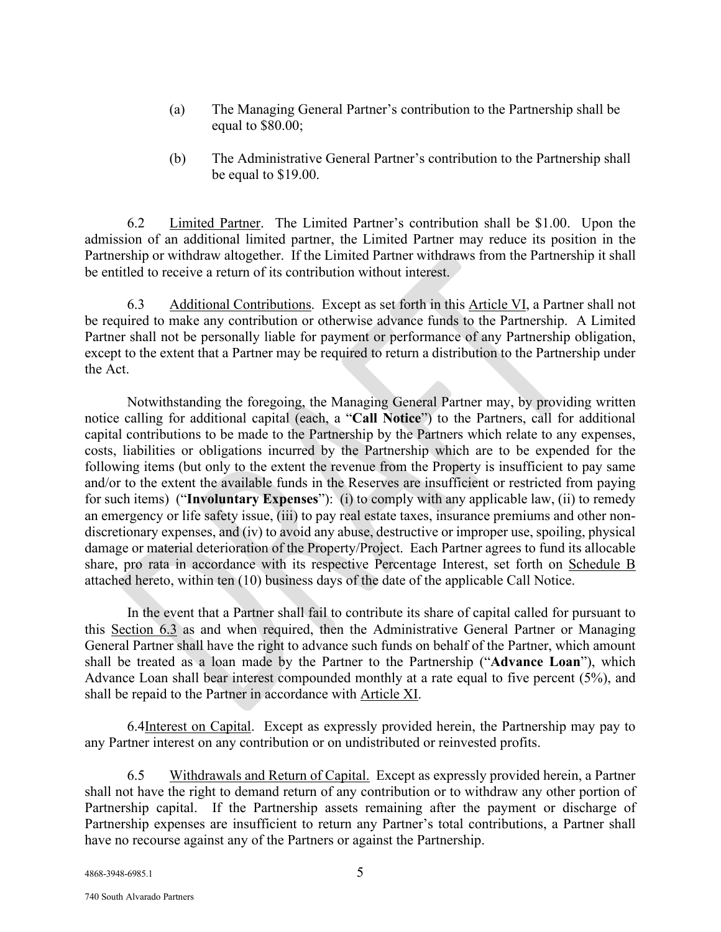- (a) The Managing General Partner's contribution to the Partnership shall be equal to \$80.00;
- (b) The Administrative General Partner's contribution to the Partnership shall be equal to \$19.00.

6.2 Limited Partner. The Limited Partner's contribution shall be \$1.00. Upon the admission of an additional limited partner, the Limited Partner may reduce its position in the Partnership or withdraw altogether. If the Limited Partner withdraws from the Partnership it shall be entitled to receive a return of its contribution without interest.

6.3 Additional Contributions. Except as set forth in this Article VI, a Partner shall not be required to make any contribution or otherwise advance funds to the Partnership. A Limited Partner shall not be personally liable for payment or performance of any Partnership obligation, except to the extent that a Partner may be required to return a distribution to the Partnership under the Act.

Notwithstanding the foregoing, the Managing General Partner may, by providing written notice calling for additional capital (each, a "**Call Notice**") to the Partners, call for additional capital contributions to be made to the Partnership by the Partners which relate to any expenses, costs, liabilities or obligations incurred by the Partnership which are to be expended for the following items (but only to the extent the revenue from the Property is insufficient to pay same and/or to the extent the available funds in the Reserves are insufficient or restricted from paying for such items) ("**Involuntary Expenses**"): (i) to comply with any applicable law, (ii) to remedy an emergency or life safety issue, (iii) to pay real estate taxes, insurance premiums and other nondiscretionary expenses, and (iv) to avoid any abuse, destructive or improper use, spoiling, physical damage or material deterioration of the Property/Project. Each Partner agrees to fund its allocable share, pro rata in accordance with its respective Percentage Interest, set forth on Schedule B attached hereto, within ten (10) business days of the date of the applicable Call Notice.

In the event that a Partner shall fail to contribute its share of capital called for pursuant to this Section 6.3 as and when required, then the Administrative General Partner or Managing General Partner shall have the right to advance such funds on behalf of the Partner, which amount shall be treated as a loan made by the Partner to the Partnership ("**Advance Loan**"), which Advance Loan shall bear interest compounded monthly at a rate equal to five percent (5%), and shall be repaid to the Partner in accordance with Article XI.

6.4Interest on Capital. Except as expressly provided herein, the Partnership may pay to any Partner interest on any contribution or on undistributed or reinvested profits.

6.5 Withdrawals and Return of Capital. Except as expressly provided herein, a Partner shall not have the right to demand return of any contribution or to withdraw any other portion of Partnership capital. If the Partnership assets remaining after the payment or discharge of Partnership expenses are insufficient to return any Partner's total contributions, a Partner shall have no recourse against any of the Partners or against the Partnership.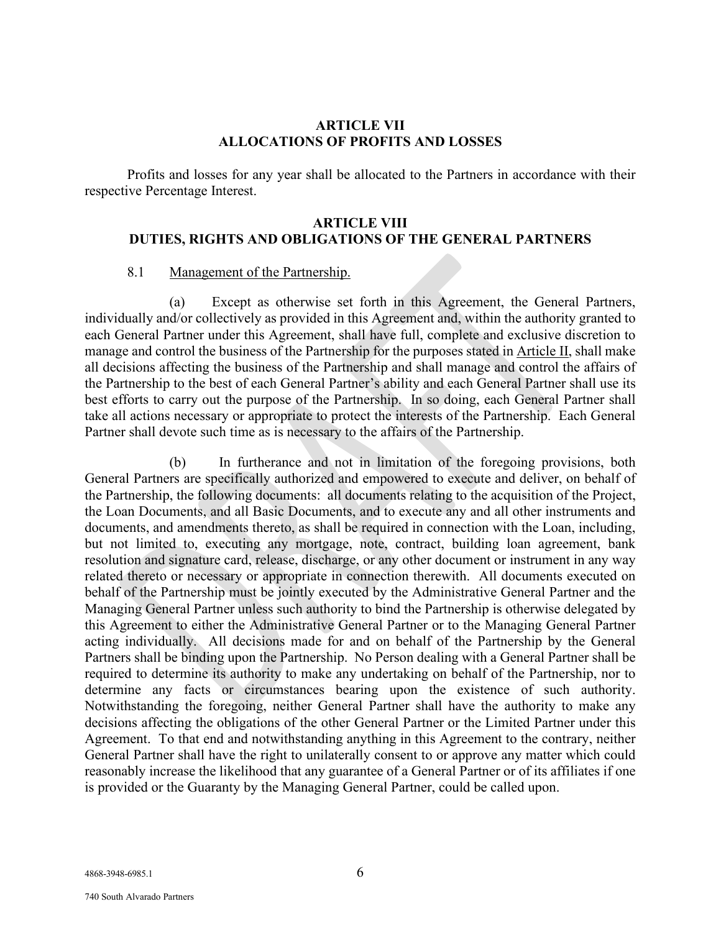#### **ARTICLE VII ALLOCATIONS OF PROFITS AND LOSSES**

Profits and losses for any year shall be allocated to the Partners in accordance with their respective Percentage Interest.

## **ARTICLE VIII DUTIES, RIGHTS AND OBLIGATIONS OF THE GENERAL PARTNERS**

#### 8.1 Management of the Partnership.

(a) Except as otherwise set forth in this Agreement, the General Partners, individually and/or collectively as provided in this Agreement and, within the authority granted to each General Partner under this Agreement, shall have full, complete and exclusive discretion to manage and control the business of the Partnership for the purposes stated in Article II, shall make all decisions affecting the business of the Partnership and shall manage and control the affairs of the Partnership to the best of each General Partner's ability and each General Partner shall use its best efforts to carry out the purpose of the Partnership. In so doing, each General Partner shall take all actions necessary or appropriate to protect the interests of the Partnership. Each General Partner shall devote such time as is necessary to the affairs of the Partnership.

(b) In furtherance and not in limitation of the foregoing provisions, both General Partners are specifically authorized and empowered to execute and deliver, on behalf of the Partnership, the following documents: all documents relating to the acquisition of the Project, the Loan Documents, and all Basic Documents, and to execute any and all other instruments and documents, and amendments thereto, as shall be required in connection with the Loan, including, but not limited to, executing any mortgage, note, contract, building loan agreement, bank resolution and signature card, release, discharge, or any other document or instrument in any way related thereto or necessary or appropriate in connection therewith. All documents executed on behalf of the Partnership must be jointly executed by the Administrative General Partner and the Managing General Partner unless such authority to bind the Partnership is otherwise delegated by this Agreement to either the Administrative General Partner or to the Managing General Partner acting individually. All decisions made for and on behalf of the Partnership by the General Partners shall be binding upon the Partnership. No Person dealing with a General Partner shall be required to determine its authority to make any undertaking on behalf of the Partnership, nor to determine any facts or circumstances bearing upon the existence of such authority. Notwithstanding the foregoing, neither General Partner shall have the authority to make any decisions affecting the obligations of the other General Partner or the Limited Partner under this Agreement. To that end and notwithstanding anything in this Agreement to the contrary, neither General Partner shall have the right to unilaterally consent to or approve any matter which could reasonably increase the likelihood that any guarantee of a General Partner or of its affiliates if one is provided or the Guaranty by the Managing General Partner, could be called upon.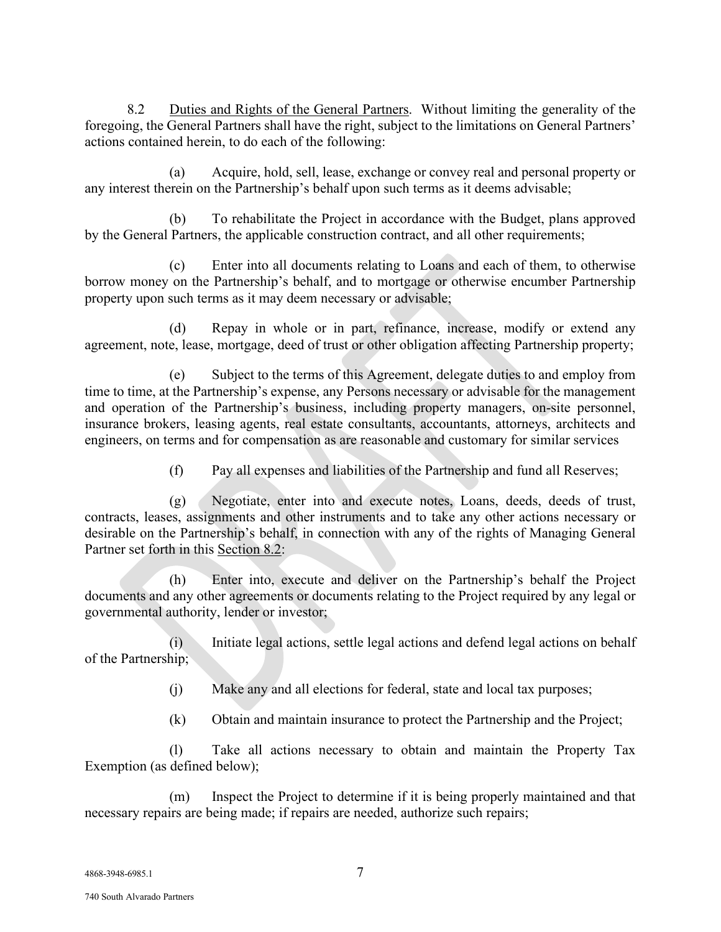8.2 Duties and Rights of the General Partners. Without limiting the generality of the foregoing, the General Partners shall have the right, subject to the limitations on General Partners' actions contained herein, to do each of the following:

(a) Acquire, hold, sell, lease, exchange or convey real and personal property or any interest therein on the Partnership's behalf upon such terms as it deems advisable;

(b) To rehabilitate the Project in accordance with the Budget, plans approved by the General Partners, the applicable construction contract, and all other requirements;

(c) Enter into all documents relating to Loans and each of them, to otherwise borrow money on the Partnership's behalf, and to mortgage or otherwise encumber Partnership property upon such terms as it may deem necessary or advisable;

(d) Repay in whole or in part, refinance, increase, modify or extend any agreement, note, lease, mortgage, deed of trust or other obligation affecting Partnership property;

(e) Subject to the terms of this Agreement, delegate duties to and employ from time to time, at the Partnership's expense, any Persons necessary or advisable for the management and operation of the Partnership's business, including property managers, on-site personnel, insurance brokers, leasing agents, real estate consultants, accountants, attorneys, architects and engineers, on terms and for compensation as are reasonable and customary for similar services

(f) Pay all expenses and liabilities of the Partnership and fund all Reserves;

(g) Negotiate, enter into and execute notes, Loans, deeds, deeds of trust, contracts, leases, assignments and other instruments and to take any other actions necessary or desirable on the Partnership's behalf, in connection with any of the rights of Managing General Partner set forth in this Section 8.2:

(h) Enter into, execute and deliver on the Partnership's behalf the Project documents and any other agreements or documents relating to the Project required by any legal or governmental authority, lender or investor;

(i) Initiate legal actions, settle legal actions and defend legal actions on behalf of the Partnership;

(j) Make any and all elections for federal, state and local tax purposes;

(k) Obtain and maintain insurance to protect the Partnership and the Project;

(l) Take all actions necessary to obtain and maintain the Property Tax Exemption (as defined below);

(m) Inspect the Project to determine if it is being properly maintained and that necessary repairs are being made; if repairs are needed, authorize such repairs;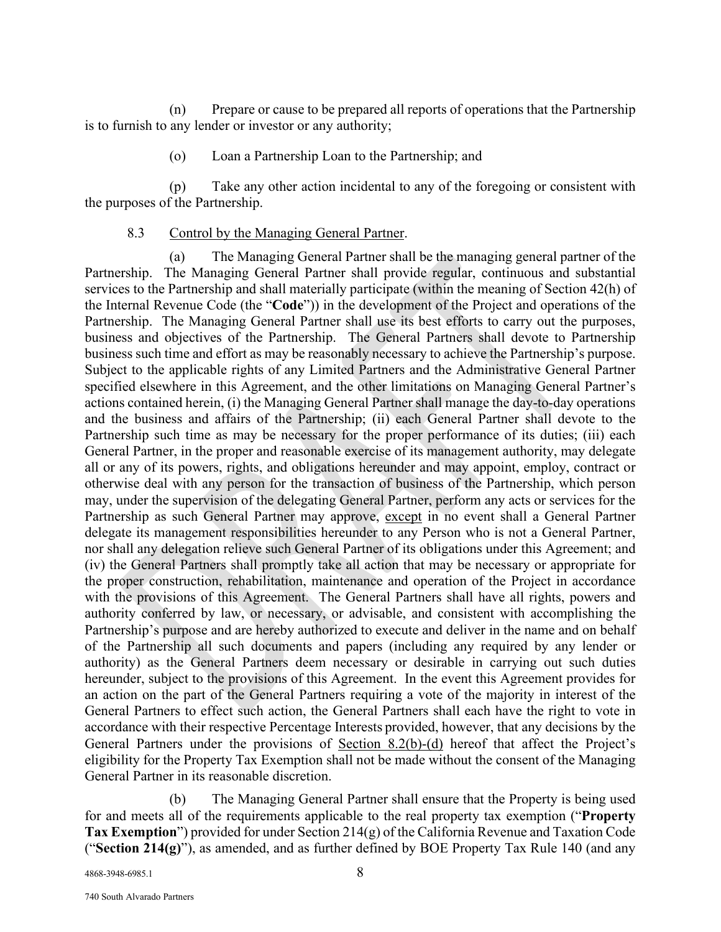(n) Prepare or cause to be prepared all reports of operations that the Partnership is to furnish to any lender or investor or any authority;

(o) Loan a Partnership Loan to the Partnership; and

(p) Take any other action incidental to any of the foregoing or consistent with the purposes of the Partnership.

8.3 Control by the Managing General Partner.

(a) The Managing General Partner shall be the managing general partner of the Partnership. The Managing General Partner shall provide regular, continuous and substantial services to the Partnership and shall materially participate (within the meaning of Section 42(h) of the Internal Revenue Code (the "**Code**")) in the development of the Project and operations of the Partnership. The Managing General Partner shall use its best efforts to carry out the purposes, business and objectives of the Partnership. The General Partners shall devote to Partnership business such time and effort as may be reasonably necessary to achieve the Partnership's purpose. Subject to the applicable rights of any Limited Partners and the Administrative General Partner specified elsewhere in this Agreement, and the other limitations on Managing General Partner's actions contained herein, (i) the Managing General Partner shall manage the day-to-day operations and the business and affairs of the Partnership; (ii) each General Partner shall devote to the Partnership such time as may be necessary for the proper performance of its duties; (iii) each General Partner, in the proper and reasonable exercise of its management authority, may delegate all or any of its powers, rights, and obligations hereunder and may appoint, employ, contract or otherwise deal with any person for the transaction of business of the Partnership, which person may, under the supervision of the delegating General Partner, perform any acts or services for the Partnership as such General Partner may approve, except in no event shall a General Partner delegate its management responsibilities hereunder to any Person who is not a General Partner, nor shall any delegation relieve such General Partner of its obligations under this Agreement; and (iv) the General Partners shall promptly take all action that may be necessary or appropriate for the proper construction, rehabilitation, maintenance and operation of the Project in accordance with the provisions of this Agreement. The General Partners shall have all rights, powers and authority conferred by law, or necessary, or advisable, and consistent with accomplishing the Partnership's purpose and are hereby authorized to execute and deliver in the name and on behalf of the Partnership all such documents and papers (including any required by any lender or authority) as the General Partners deem necessary or desirable in carrying out such duties hereunder, subject to the provisions of this Agreement. In the event this Agreement provides for an action on the part of the General Partners requiring a vote of the majority in interest of the General Partners to effect such action, the General Partners shall each have the right to vote in accordance with their respective Percentage Interests provided, however, that any decisions by the General Partners under the provisions of <u>Section 8.2(b)-(d</u>) hereof that affect the Project's eligibility for the Property Tax Exemption shall not be made without the consent of the Managing General Partner in its reasonable discretion.

(b) The Managing General Partner shall ensure that the Property is being used for and meets all of the requirements applicable to the real property tax exemption ("**Property Tax Exemption**") provided for under Section 214(g) of the California Revenue and Taxation Code ("**Section 214(g)**"), as amended, and as further defined by BOE Property Tax Rule 140 (and any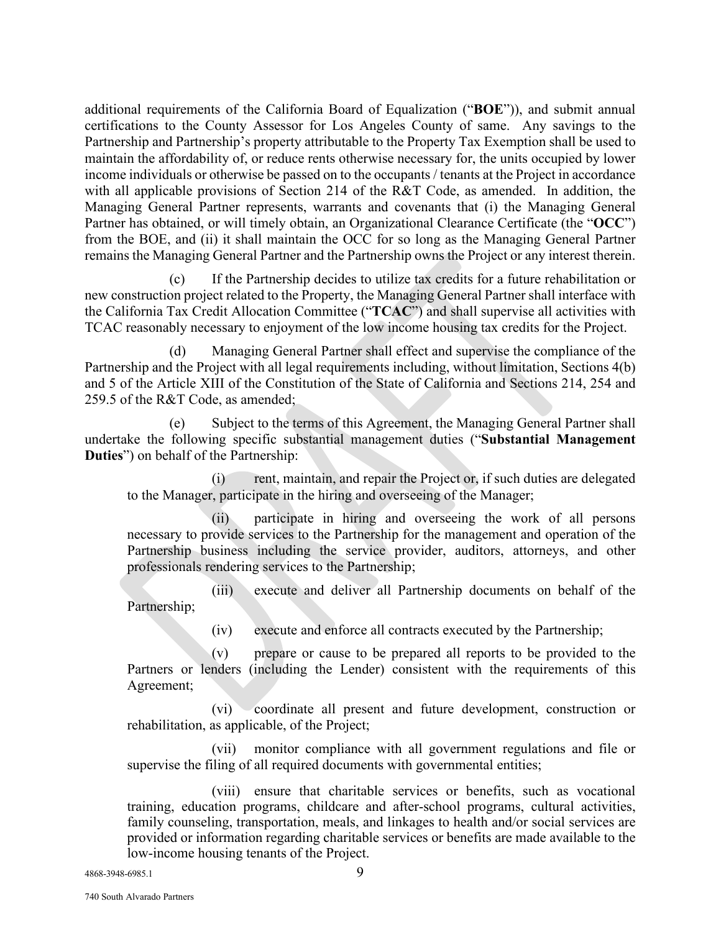additional requirements of the California Board of Equalization ("**BOE**")), and submit annual certifications to the County Assessor for Los Angeles County of same. Any savings to the Partnership and Partnership's property attributable to the Property Tax Exemption shall be used to maintain the affordability of, or reduce rents otherwise necessary for, the units occupied by lower income individuals or otherwise be passed on to the occupants / tenants at the Project in accordance with all applicable provisions of Section 214 of the R&T Code, as amended. In addition, the Managing General Partner represents, warrants and covenants that (i) the Managing General Partner has obtained, or will timely obtain, an Organizational Clearance Certificate (the "**OCC**") from the BOE, and (ii) it shall maintain the OCC for so long as the Managing General Partner remains the Managing General Partner and the Partnership owns the Project or any interest therein.

(c) If the Partnership decides to utilize tax credits for a future rehabilitation or new construction project related to the Property, the Managing General Partner shall interface with the California Tax Credit Allocation Committee ("**TCAC**") and shall supervise all activities with TCAC reasonably necessary to enjoyment of the low income housing tax credits for the Project.

(d) Managing General Partner shall effect and supervise the compliance of the Partnership and the Project with all legal requirements including, without limitation, Sections 4(b) and 5 of the Article XIII of the Constitution of the State of California and Sections 214, 254 and 259.5 of the R&T Code, as amended;

(e) Subject to the terms of this Agreement, the Managing General Partner shall undertake the following specific substantial management duties ("**Substantial Management Duties**") on behalf of the Partnership:

(i) rent, maintain, and repair the Project or, if such duties are delegated to the Manager, participate in the hiring and overseeing of the Manager;

(ii) participate in hiring and overseeing the work of all persons necessary to provide services to the Partnership for the management and operation of the Partnership business including the service provider, auditors, attorneys, and other professionals rendering services to the Partnership;

(iii) execute and deliver all Partnership documents on behalf of the Partnership;

(iv) execute and enforce all contracts executed by the Partnership;

(v) prepare or cause to be prepared all reports to be provided to the Partners or lenders (including the Lender) consistent with the requirements of this Agreement;

(vi) coordinate all present and future development, construction or rehabilitation, as applicable, of the Project;

(vii) monitor compliance with all government regulations and file or supervise the filing of all required documents with governmental entities;

(viii) ensure that charitable services or benefits, such as vocational training, education programs, childcare and after-school programs, cultural activities, family counseling, transportation, meals, and linkages to health and/or social services are provided or information regarding charitable services or benefits are made available to the low-income housing tenants of the Project.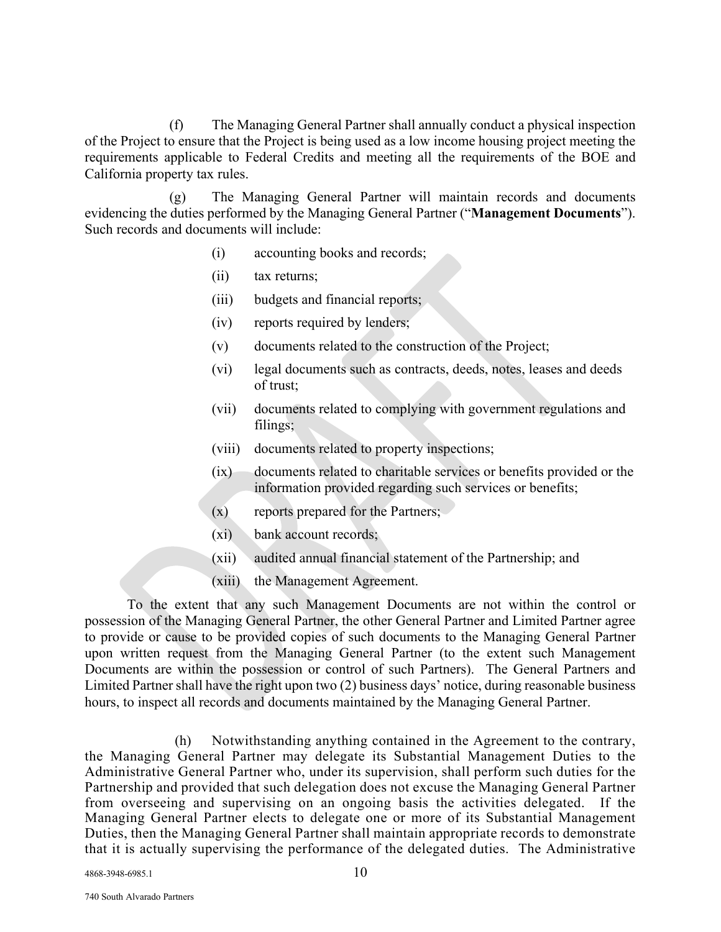(f) The Managing General Partner shall annually conduct a physical inspection of the Project to ensure that the Project is being used as a low income housing project meeting the requirements applicable to Federal Credits and meeting all the requirements of the BOE and California property tax rules.

(g) The Managing General Partner will maintain records and documents evidencing the duties performed by the Managing General Partner ("**Management Documents**"). Such records and documents will include:

- (i) accounting books and records;
- (ii) tax returns;
- (iii) budgets and financial reports;
- (iv) reports required by lenders;
- (v) documents related to the construction of the Project;
- (vi) legal documents such as contracts, deeds, notes, leases and deeds of trust;
- (vii) documents related to complying with government regulations and filings;
- (viii) documents related to property inspections;
- $(ix)$  documents related to charitable services or benefits provided or the information provided regarding such services or benefits;
- (x) reports prepared for the Partners;
- (xi) bank account records;
- (xii) audited annual financial statement of the Partnership; and
- (xiii) the Management Agreement.

To the extent that any such Management Documents are not within the control or possession of the Managing General Partner, the other General Partner and Limited Partner agree to provide or cause to be provided copies of such documents to the Managing General Partner upon written request from the Managing General Partner (to the extent such Management Documents are within the possession or control of such Partners). The General Partners and Limited Partner shall have the right upon two (2) business days' notice, during reasonable business hours, to inspect all records and documents maintained by the Managing General Partner.

(h) Notwithstanding anything contained in the Agreement to the contrary, the Managing General Partner may delegate its Substantial Management Duties to the Administrative General Partner who, under its supervision, shall perform such duties for the Partnership and provided that such delegation does not excuse the Managing General Partner from overseeing and supervising on an ongoing basis the activities delegated. If the Managing General Partner elects to delegate one or more of its Substantial Management Duties, then the Managing General Partner shall maintain appropriate records to demonstrate that it is actually supervising the performance of the delegated duties. The Administrative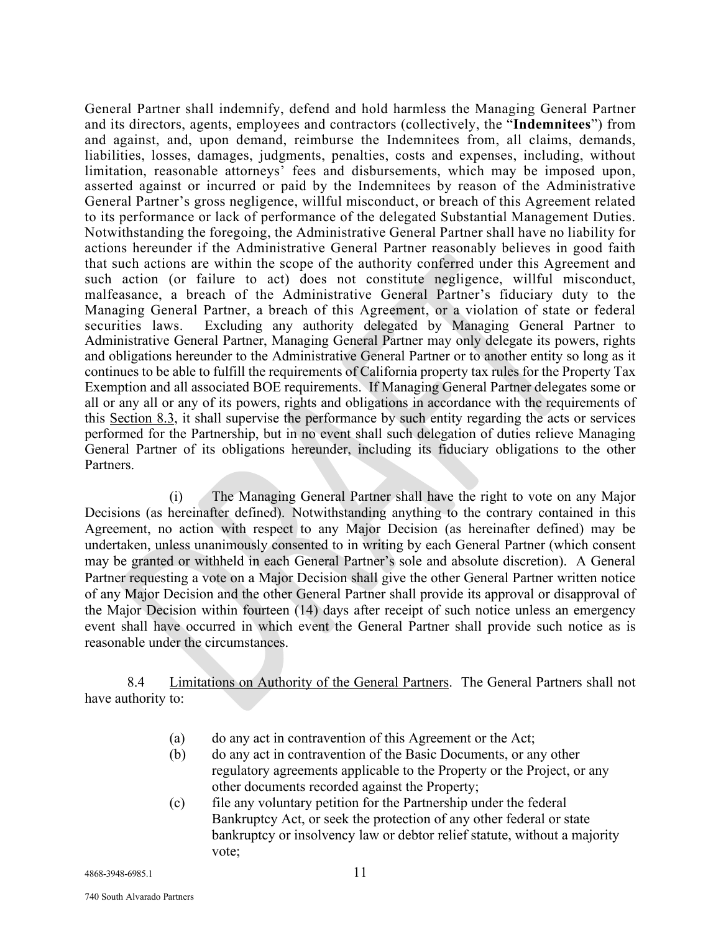General Partner shall indemnify, defend and hold harmless the Managing General Partner and its directors, agents, employees and contractors (collectively, the "**Indemnitees**") from and against, and, upon demand, reimburse the Indemnitees from, all claims, demands, liabilities, losses, damages, judgments, penalties, costs and expenses, including, without limitation, reasonable attorneys' fees and disbursements, which may be imposed upon, asserted against or incurred or paid by the Indemnitees by reason of the Administrative General Partner's gross negligence, willful misconduct, or breach of this Agreement related to its performance or lack of performance of the delegated Substantial Management Duties. Notwithstanding the foregoing, the Administrative General Partner shall have no liability for actions hereunder if the Administrative General Partner reasonably believes in good faith that such actions are within the scope of the authority conferred under this Agreement and such action (or failure to act) does not constitute negligence, willful misconduct, malfeasance, a breach of the Administrative General Partner's fiduciary duty to the Managing General Partner, a breach of this Agreement, or a violation of state or federal securities laws. Excluding any authority delegated by Managing General Partner to Administrative General Partner, Managing General Partner may only delegate its powers, rights and obligations hereunder to the Administrative General Partner or to another entity so long as it continues to be able to fulfill the requirements of California property tax rules for the Property Tax Exemption and all associated BOE requirements. If Managing General Partner delegates some or all or any all or any of its powers, rights and obligations in accordance with the requirements of this Section 8.3, it shall supervise the performance by such entity regarding the acts or services performed for the Partnership, but in no event shall such delegation of duties relieve Managing General Partner of its obligations hereunder, including its fiduciary obligations to the other Partners.

(i) The Managing General Partner shall have the right to vote on any Major Decisions (as hereinafter defined). Notwithstanding anything to the contrary contained in this Agreement, no action with respect to any Major Decision (as hereinafter defined) may be undertaken, unless unanimously consented to in writing by each General Partner (which consent may be granted or withheld in each General Partner's sole and absolute discretion). A General Partner requesting a vote on a Major Decision shall give the other General Partner written notice of any Major Decision and the other General Partner shall provide its approval or disapproval of the Major Decision within fourteen (14) days after receipt of such notice unless an emergency event shall have occurred in which event the General Partner shall provide such notice as is reasonable under the circumstances.

8.4 Limitations on Authority of the General Partners. The General Partners shall not have authority to:

- (a) do any act in contravention of this Agreement or the Act;
- (b) do any act in contravention of the Basic Documents, or any other regulatory agreements applicable to the Property or the Project, or any other documents recorded against the Property;
- (c) file any voluntary petition for the Partnership under the federal Bankruptcy Act, or seek the protection of any other federal or state bankruptcy or insolvency law or debtor relief statute, without a majority vote;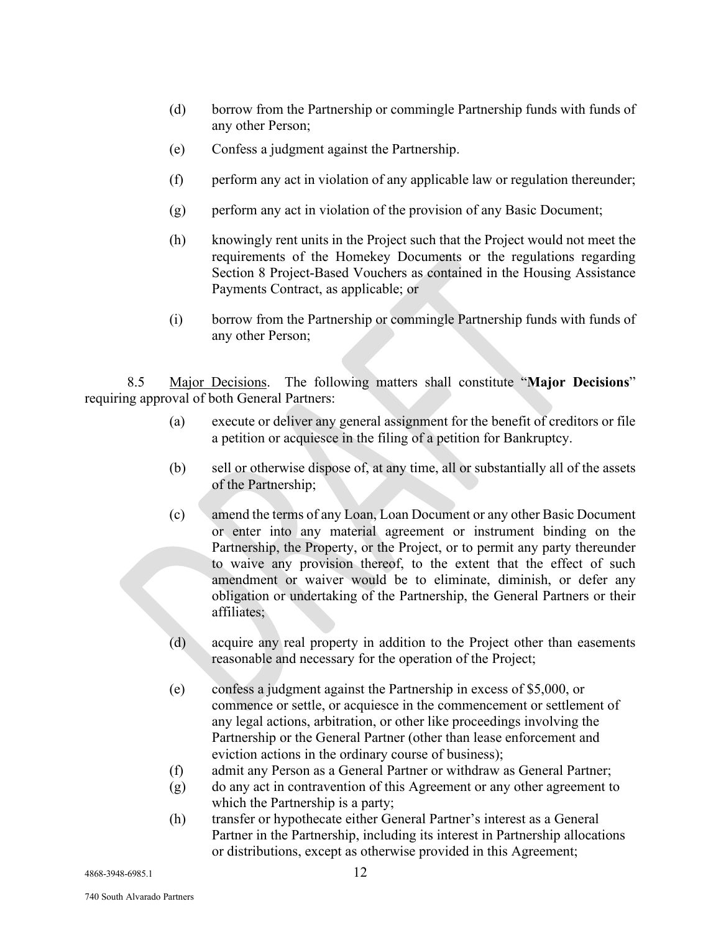- (d) borrow from the Partnership or commingle Partnership funds with funds of any other Person;
- (e) Confess a judgment against the Partnership.
- (f) perform any act in violation of any applicable law or regulation thereunder;
- (g) perform any act in violation of the provision of any Basic Document;
- (h) knowingly rent units in the Project such that the Project would not meet the requirements of the Homekey Documents or the regulations regarding Section 8 Project-Based Vouchers as contained in the Housing Assistance Payments Contract, as applicable; or
- (i) borrow from the Partnership or commingle Partnership funds with funds of any other Person;

8.5 Major Decisions. The following matters shall constitute "**Major Decisions**" requiring approval of both General Partners:

- (a) execute or deliver any general assignment for the benefit of creditors or file a petition or acquiesce in the filing of a petition for Bankruptcy.
- (b) sell or otherwise dispose of, at any time, all or substantially all of the assets of the Partnership;
- (c) amend the terms of any Loan, Loan Document or any other Basic Document or enter into any material agreement or instrument binding on the Partnership, the Property, or the Project, or to permit any party thereunder to waive any provision thereof, to the extent that the effect of such amendment or waiver would be to eliminate, diminish, or defer any obligation or undertaking of the Partnership, the General Partners or their affiliates;
- (d) acquire any real property in addition to the Project other than easements reasonable and necessary for the operation of the Project;
- (e) confess a judgment against the Partnership in excess of \$5,000, or commence or settle, or acquiesce in the commencement or settlement of any legal actions, arbitration, or other like proceedings involving the Partnership or the General Partner (other than lease enforcement and eviction actions in the ordinary course of business);
- (f) admit any Person as a General Partner or withdraw as General Partner;
- (g) do any act in contravention of this Agreement or any other agreement to which the Partnership is a party;
- (h) transfer or hypothecate either General Partner's interest as a General Partner in the Partnership, including its interest in Partnership allocations or distributions, except as otherwise provided in this Agreement;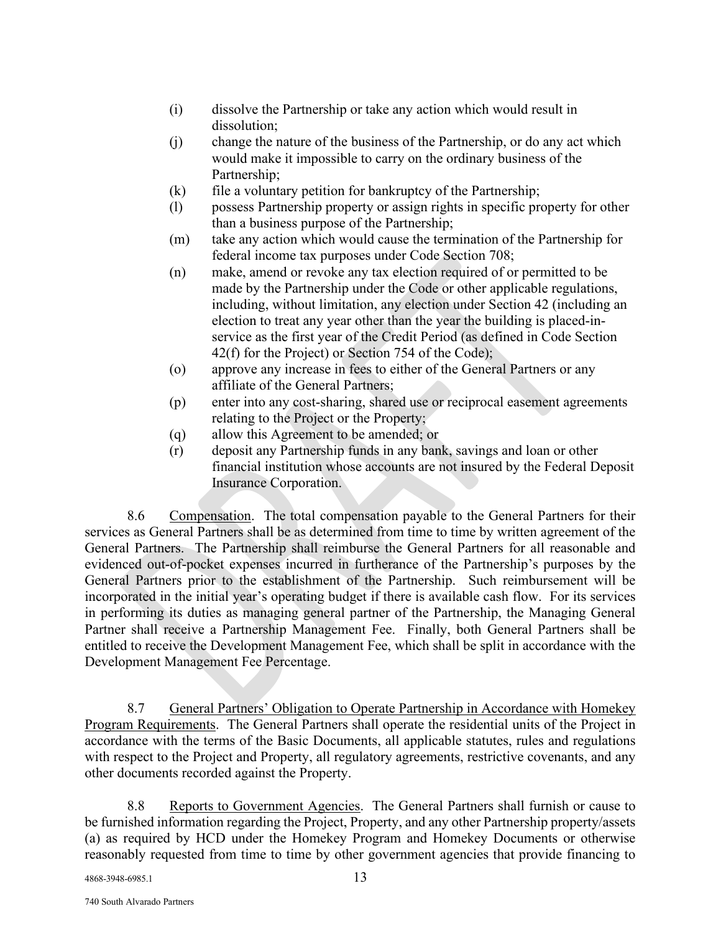- (i) dissolve the Partnership or take any action which would result in dissolution;
- (j) change the nature of the business of the Partnership, or do any act which would make it impossible to carry on the ordinary business of the Partnership;
- $(k)$  file a voluntary petition for bankruptcy of the Partnership;
- (l) possess Partnership property or assign rights in specific property for other than a business purpose of the Partnership;
- (m) take any action which would cause the termination of the Partnership for federal income tax purposes under Code Section 708;
- (n) make, amend or revoke any tax election required of or permitted to be made by the Partnership under the Code or other applicable regulations, including, without limitation, any election under Section 42 (including an election to treat any year other than the year the building is placed-inservice as the first year of the Credit Period (as defined in Code Section 42(f) for the Project) or Section 754 of the Code);
- (o) approve any increase in fees to either of the General Partners or any affiliate of the General Partners;
- (p) enter into any cost-sharing, shared use or reciprocal easement agreements relating to the Project or the Property;
- (q) allow this Agreement to be amended; or
- (r) deposit any Partnership funds in any bank, savings and loan or other financial institution whose accounts are not insured by the Federal Deposit Insurance Corporation.

8.6 Compensation. The total compensation payable to the General Partners for their services as General Partners shall be as determined from time to time by written agreement of the General Partners. The Partnership shall reimburse the General Partners for all reasonable and evidenced out-of-pocket expenses incurred in furtherance of the Partnership's purposes by the General Partners prior to the establishment of the Partnership. Such reimbursement will be incorporated in the initial year's operating budget if there is available cash flow. For its services in performing its duties as managing general partner of the Partnership, the Managing General Partner shall receive a Partnership Management Fee. Finally, both General Partners shall be entitled to receive the Development Management Fee, which shall be split in accordance with the Development Management Fee Percentage.

8.7 General Partners' Obligation to Operate Partnership in Accordance with Homekey Program Requirements. The General Partners shall operate the residential units of the Project in accordance with the terms of the Basic Documents, all applicable statutes, rules and regulations with respect to the Project and Property, all regulatory agreements, restrictive covenants, and any other documents recorded against the Property.

8.8 Reports to Government Agencies. The General Partners shall furnish or cause to be furnished information regarding the Project, Property, and any other Partnership property/assets (a) as required by HCD under the Homekey Program and Homekey Documents or otherwise reasonably requested from time to time by other government agencies that provide financing to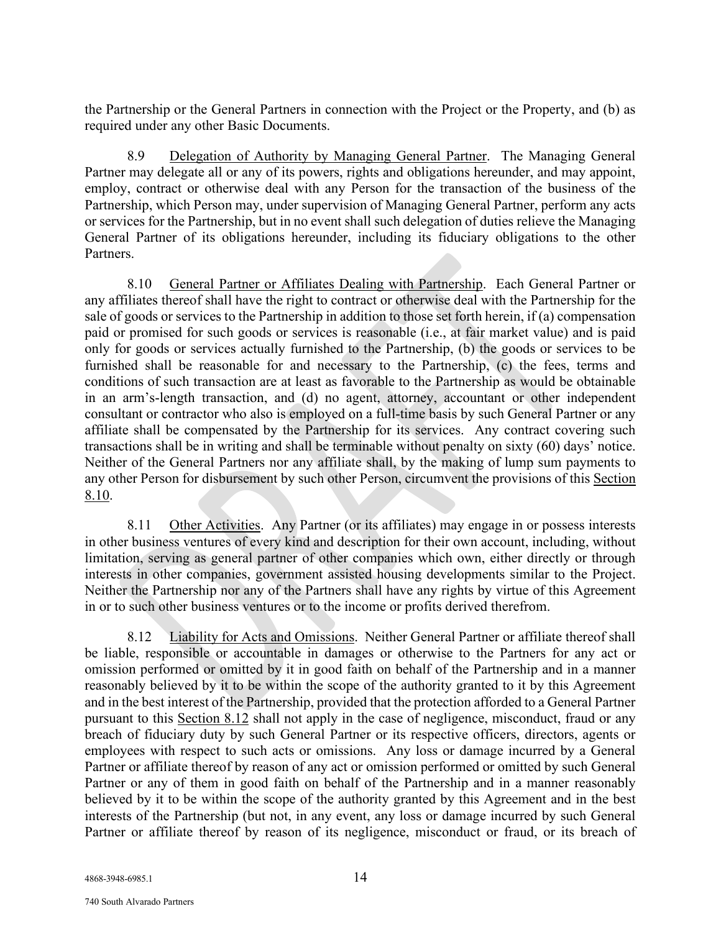the Partnership or the General Partners in connection with the Project or the Property, and (b) as required under any other Basic Documents.

8.9 Delegation of Authority by Managing General Partner. The Managing General Partner may delegate all or any of its powers, rights and obligations hereunder, and may appoint, employ, contract or otherwise deal with any Person for the transaction of the business of the Partnership, which Person may, under supervision of Managing General Partner, perform any acts or services for the Partnership, but in no event shall such delegation of duties relieve the Managing General Partner of its obligations hereunder, including its fiduciary obligations to the other Partners.

8.10 General Partner or Affiliates Dealing with Partnership. Each General Partner or any affiliates thereof shall have the right to contract or otherwise deal with the Partnership for the sale of goods or services to the Partnership in addition to those set forth herein, if (a) compensation paid or promised for such goods or services is reasonable (i.e., at fair market value) and is paid only for goods or services actually furnished to the Partnership, (b) the goods or services to be furnished shall be reasonable for and necessary to the Partnership, (c) the fees, terms and conditions of such transaction are at least as favorable to the Partnership as would be obtainable in an arm's-length transaction, and (d) no agent, attorney, accountant or other independent consultant or contractor who also is employed on a full-time basis by such General Partner or any affiliate shall be compensated by the Partnership for its services. Any contract covering such transactions shall be in writing and shall be terminable without penalty on sixty (60) days' notice. Neither of the General Partners nor any affiliate shall, by the making of lump sum payments to any other Person for disbursement by such other Person, circumvent the provisions of this Section 8.10.

8.11 Other Activities. Any Partner (or its affiliates) may engage in or possess interests in other business ventures of every kind and description for their own account, including, without limitation, serving as general partner of other companies which own, either directly or through interests in other companies, government assisted housing developments similar to the Project. Neither the Partnership nor any of the Partners shall have any rights by virtue of this Agreement in or to such other business ventures or to the income or profits derived therefrom.

8.12 Liability for Acts and Omissions. Neither General Partner or affiliate thereof shall be liable, responsible or accountable in damages or otherwise to the Partners for any act or omission performed or omitted by it in good faith on behalf of the Partnership and in a manner reasonably believed by it to be within the scope of the authority granted to it by this Agreement and in the best interest of the Partnership, provided that the protection afforded to a General Partner pursuant to this Section 8.12 shall not apply in the case of negligence, misconduct, fraud or any breach of fiduciary duty by such General Partner or its respective officers, directors, agents or employees with respect to such acts or omissions. Any loss or damage incurred by a General Partner or affiliate thereof by reason of any act or omission performed or omitted by such General Partner or any of them in good faith on behalf of the Partnership and in a manner reasonably believed by it to be within the scope of the authority granted by this Agreement and in the best interests of the Partnership (but not, in any event, any loss or damage incurred by such General Partner or affiliate thereof by reason of its negligence, misconduct or fraud, or its breach of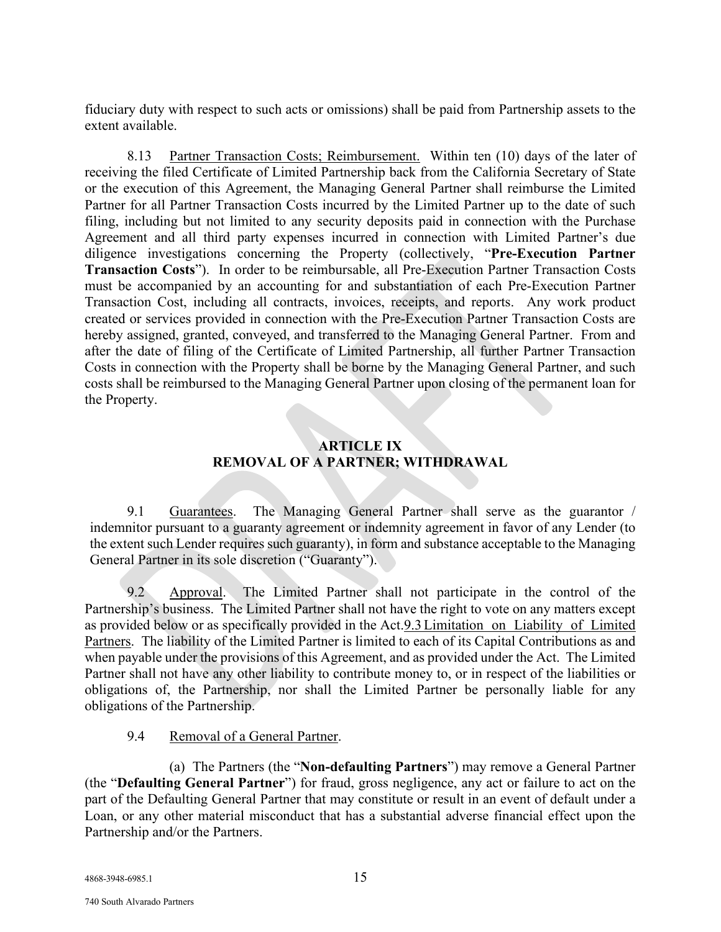fiduciary duty with respect to such acts or omissions) shall be paid from Partnership assets to the extent available.

8.13 Partner Transaction Costs; Reimbursement. Within ten (10) days of the later of receiving the filed Certificate of Limited Partnership back from the California Secretary of State or the execution of this Agreement, the Managing General Partner shall reimburse the Limited Partner for all Partner Transaction Costs incurred by the Limited Partner up to the date of such filing, including but not limited to any security deposits paid in connection with the Purchase Agreement and all third party expenses incurred in connection with Limited Partner's due diligence investigations concerning the Property (collectively, "**Pre-Execution Partner Transaction Costs**"). In order to be reimbursable, all Pre-Execution Partner Transaction Costs must be accompanied by an accounting for and substantiation of each Pre-Execution Partner Transaction Cost, including all contracts, invoices, receipts, and reports. Any work product created or services provided in connection with the Pre-Execution Partner Transaction Costs are hereby assigned, granted, conveyed, and transferred to the Managing General Partner. From and after the date of filing of the Certificate of Limited Partnership, all further Partner Transaction Costs in connection with the Property shall be borne by the Managing General Partner, and such costs shall be reimbursed to the Managing General Partner upon closing of the permanent loan for the Property.

## **ARTICLE IX REMOVAL OF A PARTNER; WITHDRAWAL**

9.1 Guarantees. The Managing General Partner shall serve as the guarantor / indemnitor pursuant to a guaranty agreement or indemnity agreement in favor of any Lender (to the extent such Lender requires such guaranty), in form and substance acceptable to the Managing General Partner in its sole discretion ("Guaranty").

9.2 Approval. The Limited Partner shall not participate in the control of the Partnership's business. The Limited Partner shall not have the right to vote on any matters except as provided below or as specifically provided in the Act.9.3Limitation on Liability of Limited Partners. The liability of the Limited Partner is limited to each of its Capital Contributions as and when payable under the provisions of this Agreement, and as provided under the Act. The Limited Partner shall not have any other liability to contribute money to, or in respect of the liabilities or obligations of, the Partnership, nor shall the Limited Partner be personally liable for any obligations of the Partnership.

# 9.4 Removal of a General Partner.

(a) The Partners (the "**Non-defaulting Partners**") may remove a General Partner (the "**Defaulting General Partner**") for fraud, gross negligence, any act or failure to act on the part of the Defaulting General Partner that may constitute or result in an event of default under a Loan, or any other material misconduct that has a substantial adverse financial effect upon the Partnership and/or the Partners.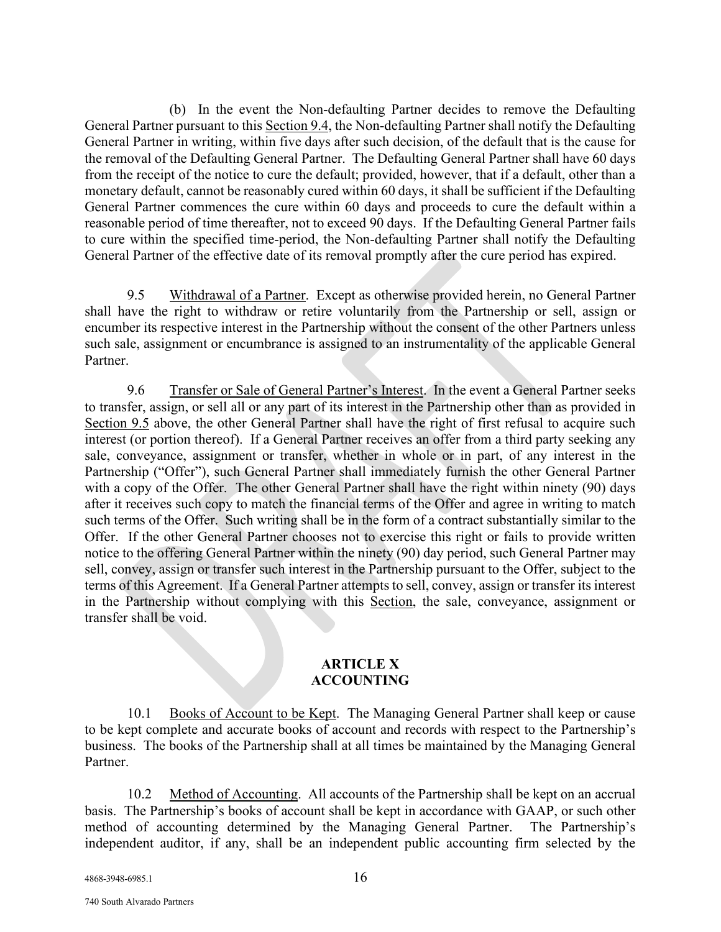(b) In the event the Non-defaulting Partner decides to remove the Defaulting General Partner pursuant to this Section 9.4, the Non-defaulting Partner shall notify the Defaulting General Partner in writing, within five days after such decision, of the default that is the cause for the removal of the Defaulting General Partner. The Defaulting General Partner shall have 60 days from the receipt of the notice to cure the default; provided, however, that if a default, other than a monetary default, cannot be reasonably cured within 60 days, it shall be sufficient if the Defaulting General Partner commences the cure within 60 days and proceeds to cure the default within a reasonable period of time thereafter, not to exceed 90 days. If the Defaulting General Partner fails to cure within the specified time-period, the Non-defaulting Partner shall notify the Defaulting General Partner of the effective date of its removal promptly after the cure period has expired.

9.5 Withdrawal of a Partner. Except as otherwise provided herein, no General Partner shall have the right to withdraw or retire voluntarily from the Partnership or sell, assign or encumber its respective interest in the Partnership without the consent of the other Partners unless such sale, assignment or encumbrance is assigned to an instrumentality of the applicable General Partner.

9.6 Transfer or Sale of General Partner's Interest. In the event a General Partner seeks to transfer, assign, or sell all or any part of its interest in the Partnership other than as provided in Section 9.5 above, the other General Partner shall have the right of first refusal to acquire such interest (or portion thereof). If a General Partner receives an offer from a third party seeking any sale, conveyance, assignment or transfer, whether in whole or in part, of any interest in the Partnership ("Offer"), such General Partner shall immediately furnish the other General Partner with a copy of the Offer. The other General Partner shall have the right within ninety (90) days after it receives such copy to match the financial terms of the Offer and agree in writing to match such terms of the Offer. Such writing shall be in the form of a contract substantially similar to the Offer. If the other General Partner chooses not to exercise this right or fails to provide written notice to the offering General Partner within the ninety (90) day period, such General Partner may sell, convey, assign or transfer such interest in the Partnership pursuant to the Offer, subject to the terms of this Agreement. If a General Partner attempts to sell, convey, assign or transfer its interest in the Partnership without complying with this Section, the sale, conveyance, assignment or transfer shall be void.

## **ARTICLE X ACCOUNTING**

10.1 Books of Account to be Kept. The Managing General Partner shall keep or cause to be kept complete and accurate books of account and records with respect to the Partnership's business. The books of the Partnership shall at all times be maintained by the Managing General Partner.

10.2 Method of Accounting. All accounts of the Partnership shall be kept on an accrual basis. The Partnership's books of account shall be kept in accordance with GAAP, or such other method of accounting determined by the Managing General Partner. The Partnership's independent auditor, if any, shall be an independent public accounting firm selected by the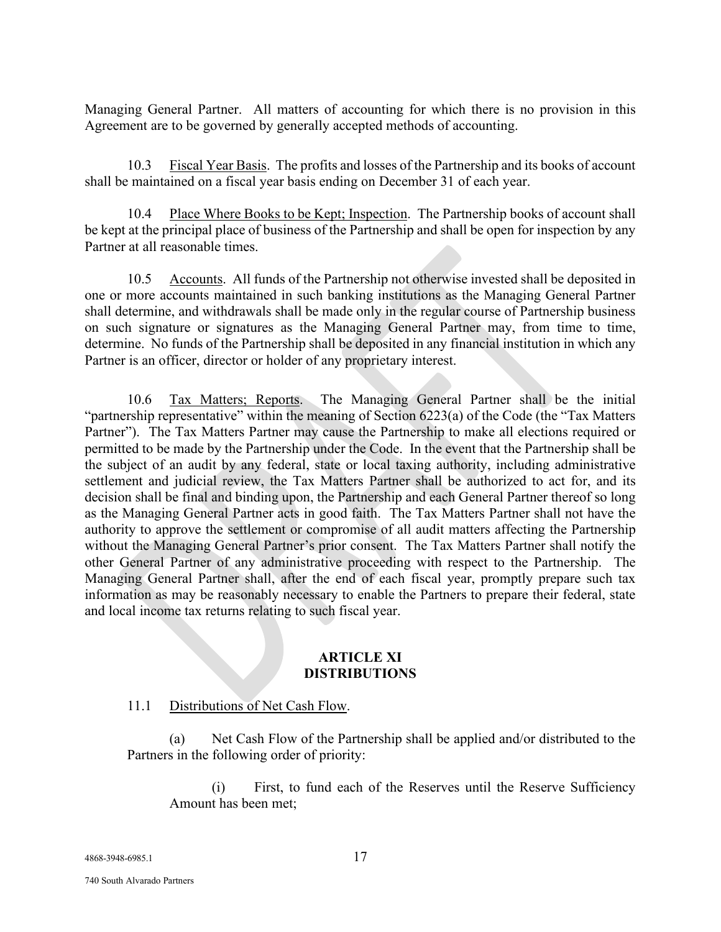Managing General Partner. All matters of accounting for which there is no provision in this Agreement are to be governed by generally accepted methods of accounting.

10.3 Fiscal Year Basis. The profits and losses of the Partnership and its books of account shall be maintained on a fiscal year basis ending on December 31 of each year.

10.4 Place Where Books to be Kept; Inspection. The Partnership books of account shall be kept at the principal place of business of the Partnership and shall be open for inspection by any Partner at all reasonable times.

10.5 Accounts. All funds of the Partnership not otherwise invested shall be deposited in one or more accounts maintained in such banking institutions as the Managing General Partner shall determine, and withdrawals shall be made only in the regular course of Partnership business on such signature or signatures as the Managing General Partner may, from time to time, determine. No funds of the Partnership shall be deposited in any financial institution in which any Partner is an officer, director or holder of any proprietary interest.

10.6 Tax Matters; Reports. The Managing General Partner shall be the initial "partnership representative" within the meaning of Section 6223(a) of the Code (the "Tax Matters Partner"). The Tax Matters Partner may cause the Partnership to make all elections required or permitted to be made by the Partnership under the Code. In the event that the Partnership shall be the subject of an audit by any federal, state or local taxing authority, including administrative settlement and judicial review, the Tax Matters Partner shall be authorized to act for, and its decision shall be final and binding upon, the Partnership and each General Partner thereof so long as the Managing General Partner acts in good faith. The Tax Matters Partner shall not have the authority to approve the settlement or compromise of all audit matters affecting the Partnership without the Managing General Partner's prior consent. The Tax Matters Partner shall notify the other General Partner of any administrative proceeding with respect to the Partnership. The Managing General Partner shall, after the end of each fiscal year, promptly prepare such tax information as may be reasonably necessary to enable the Partners to prepare their federal, state and local income tax returns relating to such fiscal year.

## **ARTICLE XI DISTRIBUTIONS**

# 11.1 Distributions of Net Cash Flow.

(a) Net Cash Flow of the Partnership shall be applied and/or distributed to the Partners in the following order of priority:

(i) First, to fund each of the Reserves until the Reserve Sufficiency Amount has been met;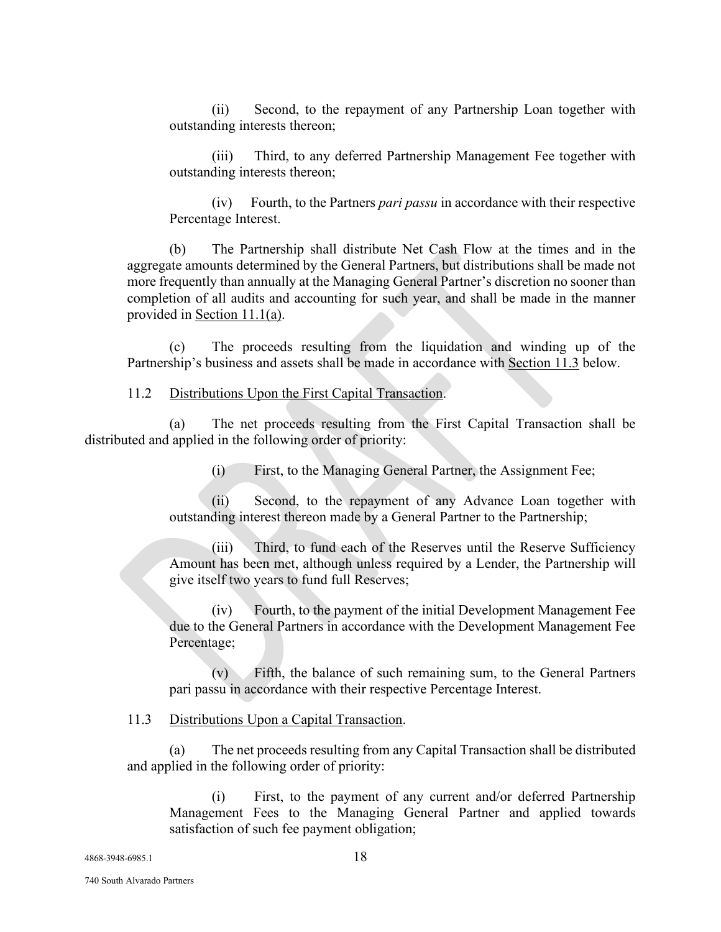(ii) Second, to the repayment of any Partnership Loan together with outstanding interests thereon;

(iii) Third, to any deferred Partnership Management Fee together with outstanding interests thereon;

(iv) Fourth, to the Partners *pari passu* in accordance with their respective Percentage Interest.

(b) The Partnership shall distribute Net Cash Flow at the times and in the aggregate amounts determined by the General Partners, but distributions shall be made not more frequently than annually at the Managing General Partner's discretion no sooner than completion of all audits and accounting for such year, and shall be made in the manner provided in Section 11.1(a).

(c) The proceeds resulting from the liquidation and winding up of the Partnership's business and assets shall be made in accordance with Section 11.3 below.

# 11.2 Distributions Upon the First Capital Transaction.

(a) The net proceeds resulting from the First Capital Transaction shall be distributed and applied in the following order of priority:

(i) First, to the Managing General Partner, the Assignment Fee;

(ii) Second, to the repayment of any Advance Loan together with outstanding interest thereon made by a General Partner to the Partnership;

(iii) Third, to fund each of the Reserves until the Reserve Sufficiency Amount has been met, although unless required by a Lender, the Partnership will give itself two years to fund full Reserves;

(iv) Fourth, to the payment of the initial Development Management Fee due to the General Partners in accordance with the Development Management Fee Percentage;

(v) Fifth, the balance of such remaining sum, to the General Partners pari passu in accordance with their respective Percentage Interest.

### 11.3 Distributions Upon a Capital Transaction.

(a) The net proceeds resulting from any Capital Transaction shall be distributed and applied in the following order of priority:

(i) First, to the payment of any current and/or deferred Partnership Management Fees to the Managing General Partner and applied towards satisfaction of such fee payment obligation;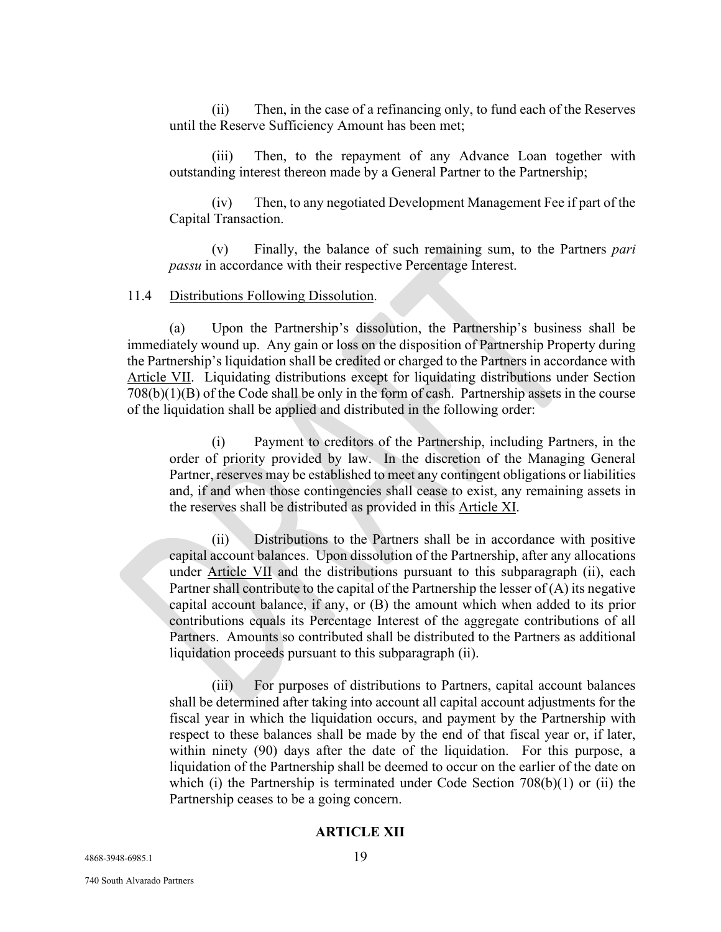(ii) Then, in the case of a refinancing only, to fund each of the Reserves until the Reserve Sufficiency Amount has been met;

(iii) Then, to the repayment of any Advance Loan together with outstanding interest thereon made by a General Partner to the Partnership;

(iv) Then, to any negotiated Development Management Fee if part of the Capital Transaction.

(v) Finally, the balance of such remaining sum, to the Partners *pari passu* in accordance with their respective Percentage Interest.

#### 11.4 Distributions Following Dissolution.

(a) Upon the Partnership's dissolution, the Partnership's business shall be immediately wound up. Any gain or loss on the disposition of Partnership Property during the Partnership's liquidation shall be credited or charged to the Partners in accordance with Article VII. Liquidating distributions except for liquidating distributions under Section 708(b)(1)(B) of the Code shall be only in the form of cash. Partnership assets in the course of the liquidation shall be applied and distributed in the following order:

(i) Payment to creditors of the Partnership, including Partners, in the order of priority provided by law. In the discretion of the Managing General Partner, reserves may be established to meet any contingent obligations or liabilities and, if and when those contingencies shall cease to exist, any remaining assets in the reserves shall be distributed as provided in this Article XI.

(ii) Distributions to the Partners shall be in accordance with positive capital account balances. Upon dissolution of the Partnership, after any allocations under Article VII and the distributions pursuant to this subparagraph (ii), each Partner shall contribute to the capital of the Partnership the lesser of (A) its negative capital account balance, if any, or (B) the amount which when added to its prior contributions equals its Percentage Interest of the aggregate contributions of all Partners. Amounts so contributed shall be distributed to the Partners as additional liquidation proceeds pursuant to this subparagraph (ii).

(iii) For purposes of distributions to Partners, capital account balances shall be determined after taking into account all capital account adjustments for the fiscal year in which the liquidation occurs, and payment by the Partnership with respect to these balances shall be made by the end of that fiscal year or, if later, within ninety (90) days after the date of the liquidation. For this purpose, a liquidation of the Partnership shall be deemed to occur on the earlier of the date on which (i) the Partnership is terminated under Code Section  $708(b)(1)$  or (ii) the Partnership ceases to be a going concern.

## **ARTICLE XII**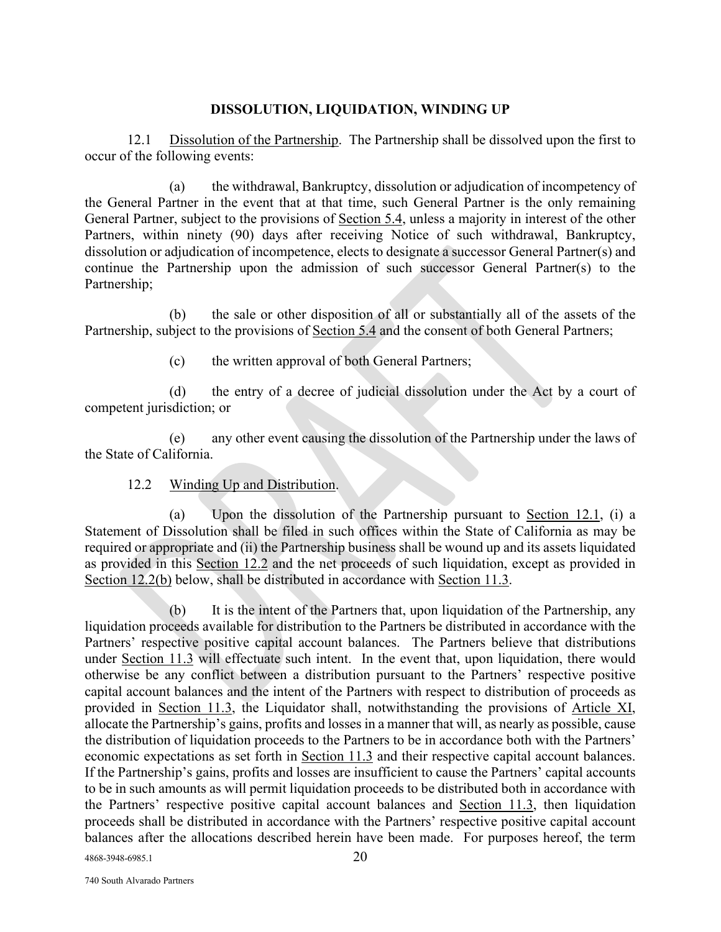## **DISSOLUTION, LIQUIDATION, WINDING UP**

12.1 Dissolution of the Partnership. The Partnership shall be dissolved upon the first to occur of the following events:

(a) the withdrawal, Bankruptcy, dissolution or adjudication of incompetency of the General Partner in the event that at that time, such General Partner is the only remaining General Partner, subject to the provisions of Section 5.4, unless a majority in interest of the other Partners, within ninety (90) days after receiving Notice of such withdrawal, Bankruptcy, dissolution or adjudication of incompetence, elects to designate a successor General Partner(s) and continue the Partnership upon the admission of such successor General Partner(s) to the Partnership;

(b) the sale or other disposition of all or substantially all of the assets of the Partnership, subject to the provisions of Section 5.4 and the consent of both General Partners;

(c) the written approval of both General Partners;

(d) the entry of a decree of judicial dissolution under the Act by a court of competent jurisdiction; or

(e) any other event causing the dissolution of the Partnership under the laws of the State of California.

# 12.2 Winding Up and Distribution.

(a) Upon the dissolution of the Partnership pursuant to Section 12.1, (i) a Statement of Dissolution shall be filed in such offices within the State of California as may be required or appropriate and (ii) the Partnership business shall be wound up and its assets liquidated as provided in this Section 12.2 and the net proceeds of such liquidation, except as provided in Section 12.2(b) below, shall be distributed in accordance with Section 11.3.

(b) It is the intent of the Partners that, upon liquidation of the Partnership, any liquidation proceeds available for distribution to the Partners be distributed in accordance with the Partners' respective positive capital account balances. The Partners believe that distributions under Section 11.3 will effectuate such intent. In the event that, upon liquidation, there would otherwise be any conflict between a distribution pursuant to the Partners' respective positive capital account balances and the intent of the Partners with respect to distribution of proceeds as provided in Section 11.3, the Liquidator shall, notwithstanding the provisions of Article XI, allocate the Partnership's gains, profits and losses in a manner that will, as nearly as possible, cause the distribution of liquidation proceeds to the Partners to be in accordance both with the Partners' economic expectations as set forth in Section 11.3 and their respective capital account balances. If the Partnership's gains, profits and losses are insufficient to cause the Partners' capital accounts to be in such amounts as will permit liquidation proceeds to be distributed both in accordance with the Partners' respective positive capital account balances and Section 11.3, then liquidation proceeds shall be distributed in accordance with the Partners' respective positive capital account balances after the allocations described herein have been made. For purposes hereof, the term

4868-3948-6985.1 20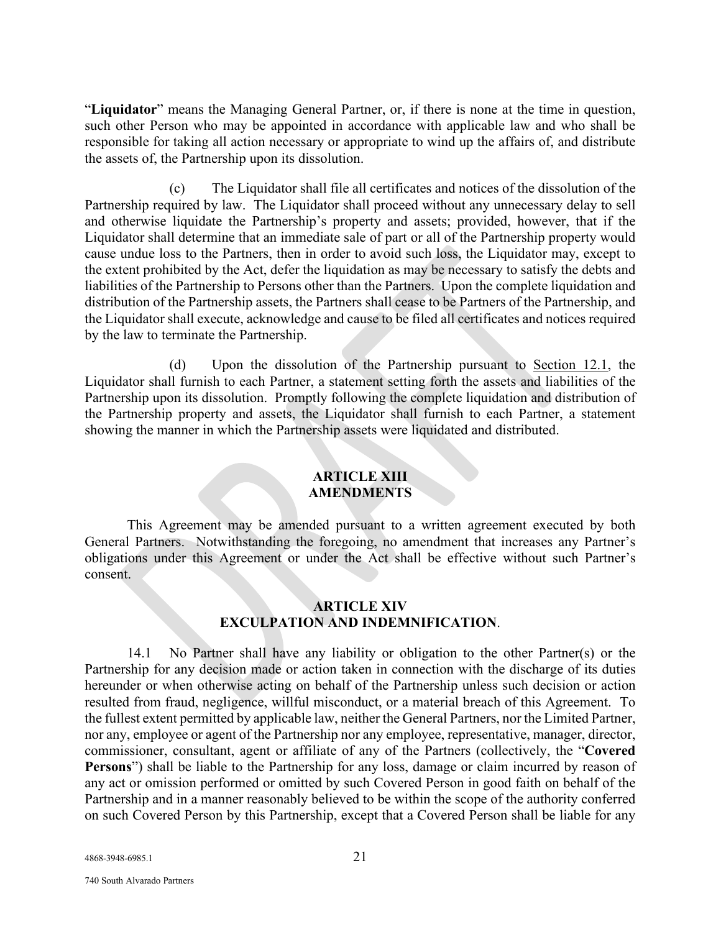"**Liquidator**" means the Managing General Partner, or, if there is none at the time in question, such other Person who may be appointed in accordance with applicable law and who shall be responsible for taking all action necessary or appropriate to wind up the affairs of, and distribute the assets of, the Partnership upon its dissolution.

(c) The Liquidator shall file all certificates and notices of the dissolution of the Partnership required by law. The Liquidator shall proceed without any unnecessary delay to sell and otherwise liquidate the Partnership's property and assets; provided, however, that if the Liquidator shall determine that an immediate sale of part or all of the Partnership property would cause undue loss to the Partners, then in order to avoid such loss, the Liquidator may, except to the extent prohibited by the Act, defer the liquidation as may be necessary to satisfy the debts and liabilities of the Partnership to Persons other than the Partners. Upon the complete liquidation and distribution of the Partnership assets, the Partners shall cease to be Partners of the Partnership, and the Liquidator shall execute, acknowledge and cause to be filed all certificates and notices required by the law to terminate the Partnership.

(d) Upon the dissolution of the Partnership pursuant to Section 12.1, the Liquidator shall furnish to each Partner, a statement setting forth the assets and liabilities of the Partnership upon its dissolution. Promptly following the complete liquidation and distribution of the Partnership property and assets, the Liquidator shall furnish to each Partner, a statement showing the manner in which the Partnership assets were liquidated and distributed.

## **ARTICLE XIII AMENDMENTS**

This Agreement may be amended pursuant to a written agreement executed by both General Partners. Notwithstanding the foregoing, no amendment that increases any Partner's obligations under this Agreement or under the Act shall be effective without such Partner's consent.

## **ARTICLE XIV EXCULPATION AND INDEMNIFICATION**.

14.1 No Partner shall have any liability or obligation to the other Partner(s) or the Partnership for any decision made or action taken in connection with the discharge of its duties hereunder or when otherwise acting on behalf of the Partnership unless such decision or action resulted from fraud, negligence, willful misconduct, or a material breach of this Agreement. To the fullest extent permitted by applicable law, neither the General Partners, nor the Limited Partner, nor any, employee or agent of the Partnership nor any employee, representative, manager, director, commissioner, consultant, agent or affiliate of any of the Partners (collectively, the "**Covered Persons**") shall be liable to the Partnership for any loss, damage or claim incurred by reason of any act or omission performed or omitted by such Covered Person in good faith on behalf of the Partnership and in a manner reasonably believed to be within the scope of the authority conferred on such Covered Person by this Partnership, except that a Covered Person shall be liable for any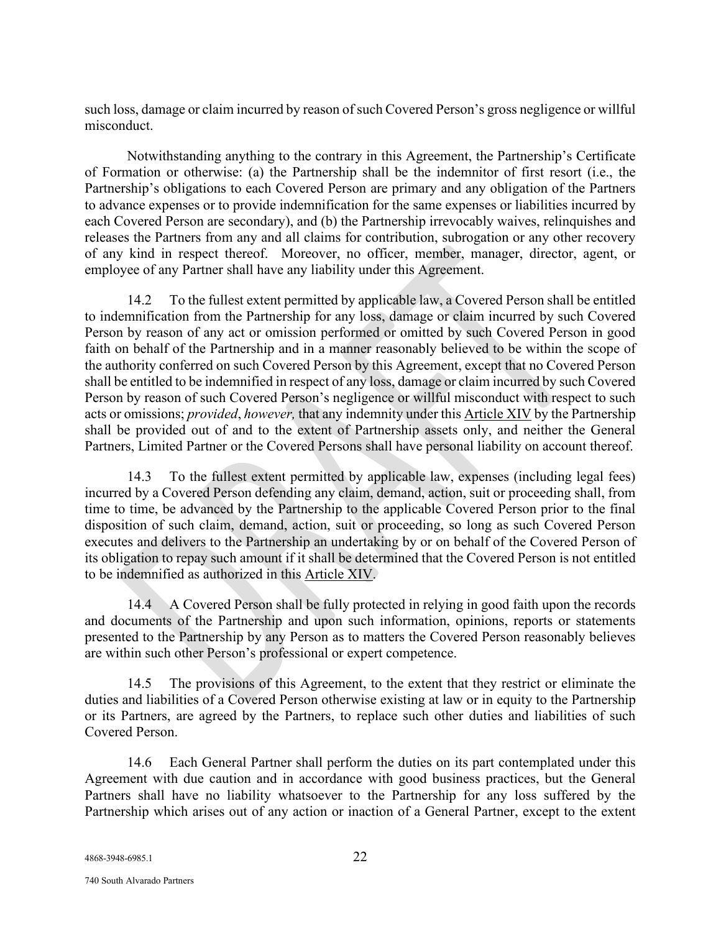such loss, damage or claim incurred by reason of such Covered Person's gross negligence or willful misconduct.

Notwithstanding anything to the contrary in this Agreement, the Partnership's Certificate of Formation or otherwise: (a) the Partnership shall be the indemnitor of first resort (i.e., the Partnership's obligations to each Covered Person are primary and any obligation of the Partners to advance expenses or to provide indemnification for the same expenses or liabilities incurred by each Covered Person are secondary), and (b) the Partnership irrevocably waives, relinquishes and releases the Partners from any and all claims for contribution, subrogation or any other recovery of any kind in respect thereof. Moreover, no officer, member, manager, director, agent, or employee of any Partner shall have any liability under this Agreement.

14.2 To the fullest extent permitted by applicable law, a Covered Person shall be entitled to indemnification from the Partnership for any loss, damage or claim incurred by such Covered Person by reason of any act or omission performed or omitted by such Covered Person in good faith on behalf of the Partnership and in a manner reasonably believed to be within the scope of the authority conferred on such Covered Person by this Agreement, except that no Covered Person shall be entitled to be indemnified in respect of any loss, damage or claim incurred by such Covered Person by reason of such Covered Person's negligence or willful misconduct with respect to such acts or omissions; *provided*, *however,* that any indemnity under this Article XIV by the Partnership shall be provided out of and to the extent of Partnership assets only, and neither the General Partners, Limited Partner or the Covered Persons shall have personal liability on account thereof.

14.3 To the fullest extent permitted by applicable law, expenses (including legal fees) incurred by a Covered Person defending any claim, demand, action, suit or proceeding shall, from time to time, be advanced by the Partnership to the applicable Covered Person prior to the final disposition of such claim, demand, action, suit or proceeding, so long as such Covered Person executes and delivers to the Partnership an undertaking by or on behalf of the Covered Person of its obligation to repay such amount if it shall be determined that the Covered Person is not entitled to be indemnified as authorized in this Article XIV.

14.4 A Covered Person shall be fully protected in relying in good faith upon the records and documents of the Partnership and upon such information, opinions, reports or statements presented to the Partnership by any Person as to matters the Covered Person reasonably believes are within such other Person's professional or expert competence.

14.5 The provisions of this Agreement, to the extent that they restrict or eliminate the duties and liabilities of a Covered Person otherwise existing at law or in equity to the Partnership or its Partners, are agreed by the Partners, to replace such other duties and liabilities of such Covered Person.

14.6 Each General Partner shall perform the duties on its part contemplated under this Agreement with due caution and in accordance with good business practices, but the General Partners shall have no liability whatsoever to the Partnership for any loss suffered by the Partnership which arises out of any action or inaction of a General Partner, except to the extent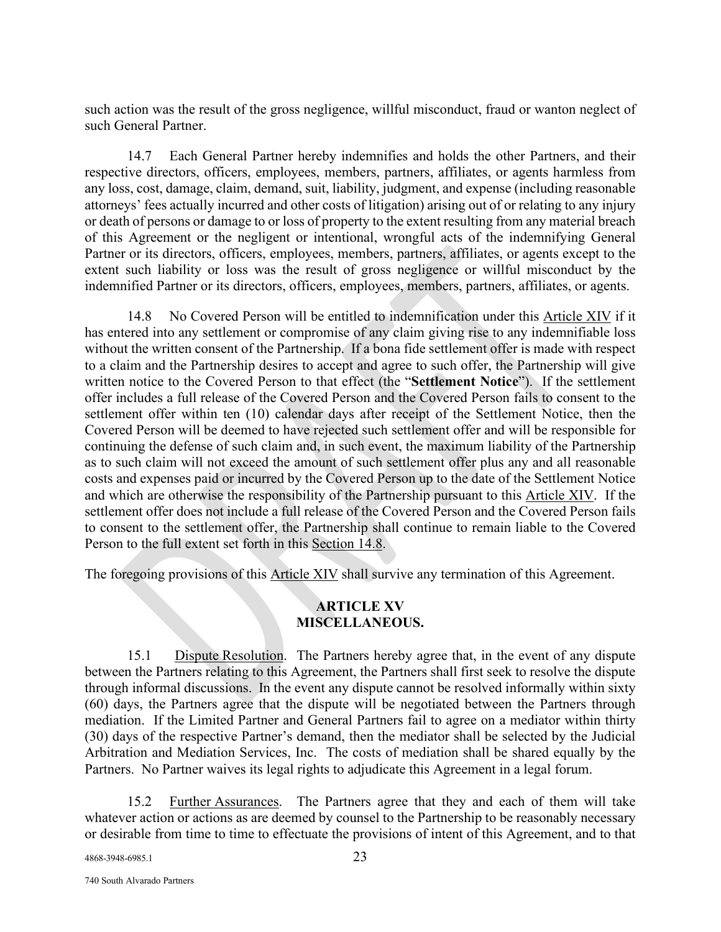such action was the result of the gross negligence, willful misconduct, fraud or wanton neglect of such General Partner.

14.7 Each General Partner hereby indemnifies and holds the other Partners, and their respective directors, officers, employees, members, partners, affiliates, or agents harmless from any loss, cost, damage, claim, demand, suit, liability, judgment, and expense (including reasonable attorneys' fees actually incurred and other costs of litigation) arising out of or relating to any injury or death of persons or damage to or loss of property to the extent resulting from any material breach of this Agreement or the negligent or intentional, wrongful acts of the indemnifying General Partner or its directors, officers, employees, members, partners, affiliates, or agents except to the extent such liability or loss was the result of gross negligence or willful misconduct by the indemnified Partner or its directors, officers, employees, members, partners, affiliates, or agents.

14.8 No Covered Person will be entitled to indemnification under this Article XIV if it has entered into any settlement or compromise of any claim giving rise to any indemnifiable loss without the written consent of the Partnership. If a bona fide settlement offer is made with respect to a claim and the Partnership desires to accept and agree to such offer, the Partnership will give written notice to the Covered Person to that effect (the "**Settlement Notice**"). If the settlement offer includes a full release of the Covered Person and the Covered Person fails to consent to the settlement offer within ten (10) calendar days after receipt of the Settlement Notice, then the Covered Person will be deemed to have rejected such settlement offer and will be responsible for continuing the defense of such claim and, in such event, the maximum liability of the Partnership as to such claim will not exceed the amount of such settlement offer plus any and all reasonable costs and expenses paid or incurred by the Covered Person up to the date of the Settlement Notice and which are otherwise the responsibility of the Partnership pursuant to this Article XIV. If the settlement offer does not include a full release of the Covered Person and the Covered Person fails to consent to the settlement offer, the Partnership shall continue to remain liable to the Covered Person to the full extent set forth in this Section 14.8.

The foregoing provisions of this Article XIV shall survive any termination of this Agreement.

## **ARTICLE XV MISCELLANEOUS.**

15.1 Dispute Resolution. The Partners hereby agree that, in the event of any dispute between the Partners relating to this Agreement, the Partners shall first seek to resolve the dispute through informal discussions. In the event any dispute cannot be resolved informally within sixty (60) days, the Partners agree that the dispute will be negotiated between the Partners through mediation. If the Limited Partner and General Partners fail to agree on a mediator within thirty (30) days of the respective Partner's demand, then the mediator shall be selected by the Judicial Arbitration and Mediation Services, Inc. The costs of mediation shall be shared equally by the Partners. No Partner waives its legal rights to adjudicate this Agreement in a legal forum.

15.2 Further Assurances. The Partners agree that they and each of them will take whatever action or actions as are deemed by counsel to the Partnership to be reasonably necessary or desirable from time to time to effectuate the provisions of intent of this Agreement, and to that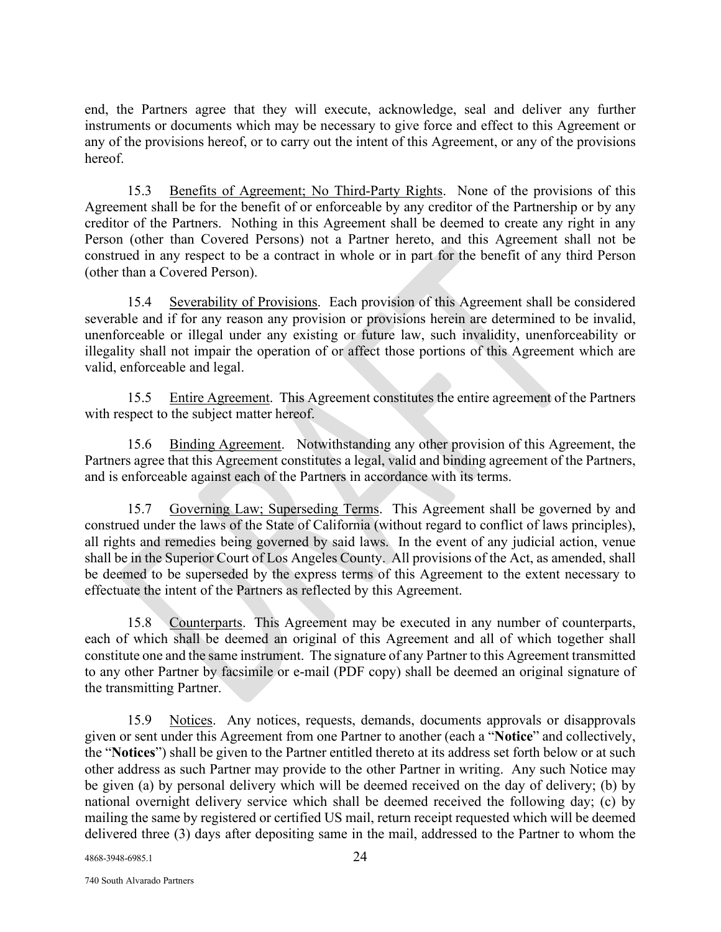end, the Partners agree that they will execute, acknowledge, seal and deliver any further instruments or documents which may be necessary to give force and effect to this Agreement or any of the provisions hereof, or to carry out the intent of this Agreement, or any of the provisions hereof.

15.3 Benefits of Agreement; No Third-Party Rights. None of the provisions of this Agreement shall be for the benefit of or enforceable by any creditor of the Partnership or by any creditor of the Partners. Nothing in this Agreement shall be deemed to create any right in any Person (other than Covered Persons) not a Partner hereto, and this Agreement shall not be construed in any respect to be a contract in whole or in part for the benefit of any third Person (other than a Covered Person).

15.4 Severability of Provisions. Each provision of this Agreement shall be considered severable and if for any reason any provision or provisions herein are determined to be invalid, unenforceable or illegal under any existing or future law, such invalidity, unenforceability or illegality shall not impair the operation of or affect those portions of this Agreement which are valid, enforceable and legal.

15.5 Entire Agreement. This Agreement constitutes the entire agreement of the Partners with respect to the subject matter hereof.

15.6 Binding Agreement. Notwithstanding any other provision of this Agreement, the Partners agree that this Agreement constitutes a legal, valid and binding agreement of the Partners, and is enforceable against each of the Partners in accordance with its terms.

15.7 Governing Law; Superseding Terms. This Agreement shall be governed by and construed under the laws of the State of California (without regard to conflict of laws principles), all rights and remedies being governed by said laws. In the event of any judicial action, venue shall be in the Superior Court of Los Angeles County. All provisions of the Act, as amended, shall be deemed to be superseded by the express terms of this Agreement to the extent necessary to effectuate the intent of the Partners as reflected by this Agreement.

15.8 Counterparts. This Agreement may be executed in any number of counterparts, each of which shall be deemed an original of this Agreement and all of which together shall constitute one and the same instrument. The signature of any Partner to this Agreement transmitted to any other Partner by facsimile or e-mail (PDF copy) shall be deemed an original signature of the transmitting Partner.

15.9 Notices. Any notices, requests, demands, documents approvals or disapprovals given or sent under this Agreement from one Partner to another (each a "**Notice**" and collectively, the "**Notices**") shall be given to the Partner entitled thereto at its address set forth below or at such other address as such Partner may provide to the other Partner in writing. Any such Notice may be given (a) by personal delivery which will be deemed received on the day of delivery; (b) by national overnight delivery service which shall be deemed received the following day; (c) by mailing the same by registered or certified US mail, return receipt requested which will be deemed delivered three (3) days after depositing same in the mail, addressed to the Partner to whom the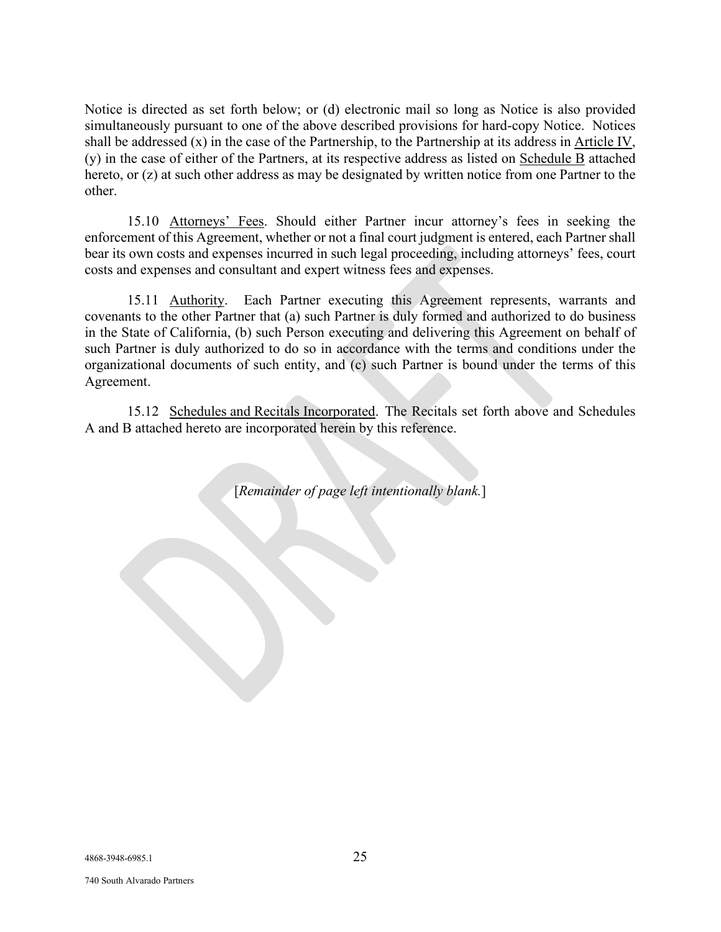Notice is directed as set forth below; or (d) electronic mail so long as Notice is also provided simultaneously pursuant to one of the above described provisions for hard-copy Notice. Notices shall be addressed (x) in the case of the Partnership, to the Partnership at its address in Article IV, (y) in the case of either of the Partners, at its respective address as listed on Schedule B attached hereto, or (z) at such other address as may be designated by written notice from one Partner to the other.

15.10 Attorneys' Fees. Should either Partner incur attorney's fees in seeking the enforcement of this Agreement, whether or not a final court judgment is entered, each Partner shall bear its own costs and expenses incurred in such legal proceeding, including attorneys' fees, court costs and expenses and consultant and expert witness fees and expenses.

15.11 Authority. Each Partner executing this Agreement represents, warrants and covenants to the other Partner that (a) such Partner is duly formed and authorized to do business in the State of California, (b) such Person executing and delivering this Agreement on behalf of such Partner is duly authorized to do so in accordance with the terms and conditions under the organizational documents of such entity, and (c) such Partner is bound under the terms of this Agreement.

15.12 Schedules and Recitals Incorporated. The Recitals set forth above and Schedules A and B attached hereto are incorporated herein by this reference.

[*Remainder of page left intentionally blank.*]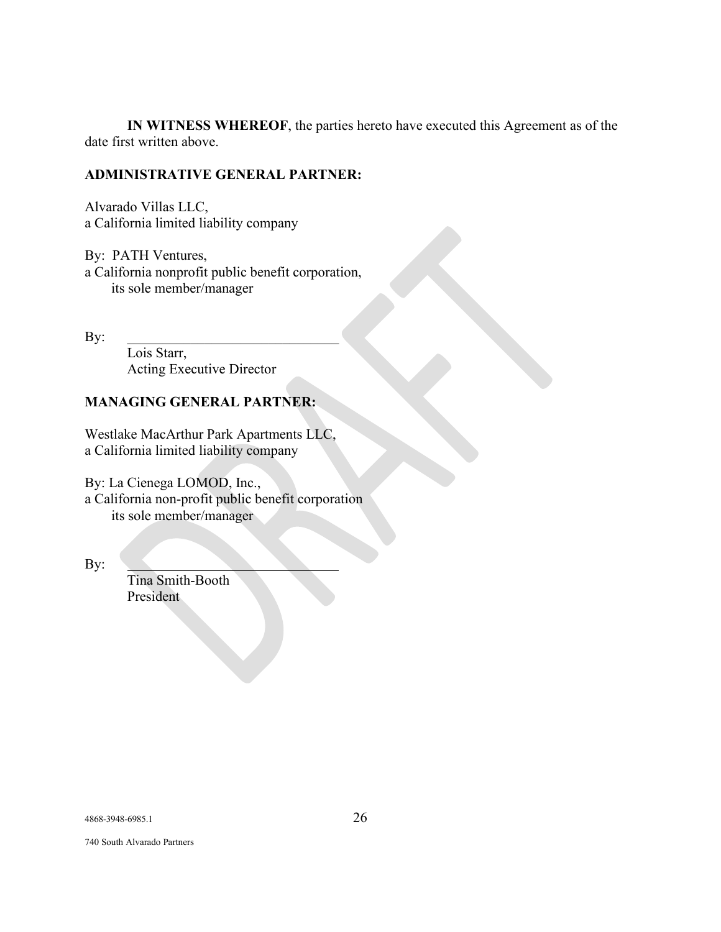**IN WITNESS WHEREOF**, the parties hereto have executed this Agreement as of the date first written above.

## **ADMINISTRATIVE GENERAL PARTNER:**

Alvarado Villas LLC, a California limited liability company

By: PATH Ventures, a California nonprofit public benefit corporation, its sole member/manager

By: \_\_\_\_\_\_\_\_\_\_\_\_\_\_\_\_\_\_\_\_\_\_\_\_\_\_\_\_\_\_

Lois Starr, Acting Executive Director

## **MANAGING GENERAL PARTNER:**

Westlake MacArthur Park Apartments LLC, a California limited liability company

By: La Cienega LOMOD, Inc., a California non-profit public benefit corporation its sole member/manager

By:

Tina Smith-Booth President

740 South Alvarado Partners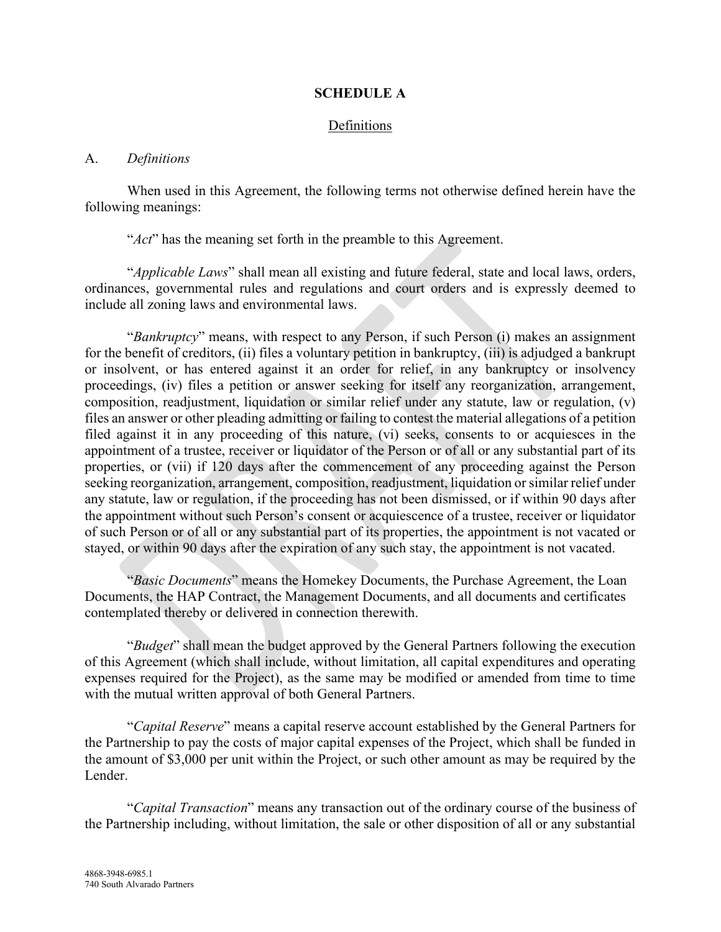## **SCHEDULE A**

## Definitions

#### A. *Definitions*

When used in this Agreement, the following terms not otherwise defined herein have the following meanings:

"*Act*" has the meaning set forth in the preamble to this Agreement.

"*Applicable Laws*" shall mean all existing and future federal, state and local laws, orders, ordinances, governmental rules and regulations and court orders and is expressly deemed to include all zoning laws and environmental laws.

"*Bankruptcy*" means, with respect to any Person, if such Person (i) makes an assignment for the benefit of creditors, (ii) files a voluntary petition in bankruptcy, (iii) is adjudged a bankrupt or insolvent, or has entered against it an order for relief, in any bankruptcy or insolvency proceedings, (iv) files a petition or answer seeking for itself any reorganization, arrangement, composition, readjustment, liquidation or similar relief under any statute, law or regulation, (v) files an answer or other pleading admitting or failing to contest the material allegations of a petition filed against it in any proceeding of this nature, (vi) seeks, consents to or acquiesces in the appointment of a trustee, receiver or liquidator of the Person or of all or any substantial part of its properties, or (vii) if 120 days after the commencement of any proceeding against the Person seeking reorganization, arrangement, composition, readjustment, liquidation or similar relief under any statute, law or regulation, if the proceeding has not been dismissed, or if within 90 days after the appointment without such Person's consent or acquiescence of a trustee, receiver or liquidator of such Person or of all or any substantial part of its properties, the appointment is not vacated or stayed, or within 90 days after the expiration of any such stay, the appointment is not vacated.

"*Basic Documents*" means the Homekey Documents, the Purchase Agreement, the Loan Documents, the HAP Contract, the Management Documents, and all documents and certificates contemplated thereby or delivered in connection therewith.

"*Budget*" shall mean the budget approved by the General Partners following the execution of this Agreement (which shall include, without limitation, all capital expenditures and operating expenses required for the Project), as the same may be modified or amended from time to time with the mutual written approval of both General Partners.

"*Capital Reserve*" means a capital reserve account established by the General Partners for the Partnership to pay the costs of major capital expenses of the Project, which shall be funded in the amount of \$3,000 per unit within the Project, or such other amount as may be required by the Lender.

"*Capital Transaction*" means any transaction out of the ordinary course of the business of the Partnership including, without limitation, the sale or other disposition of all or any substantial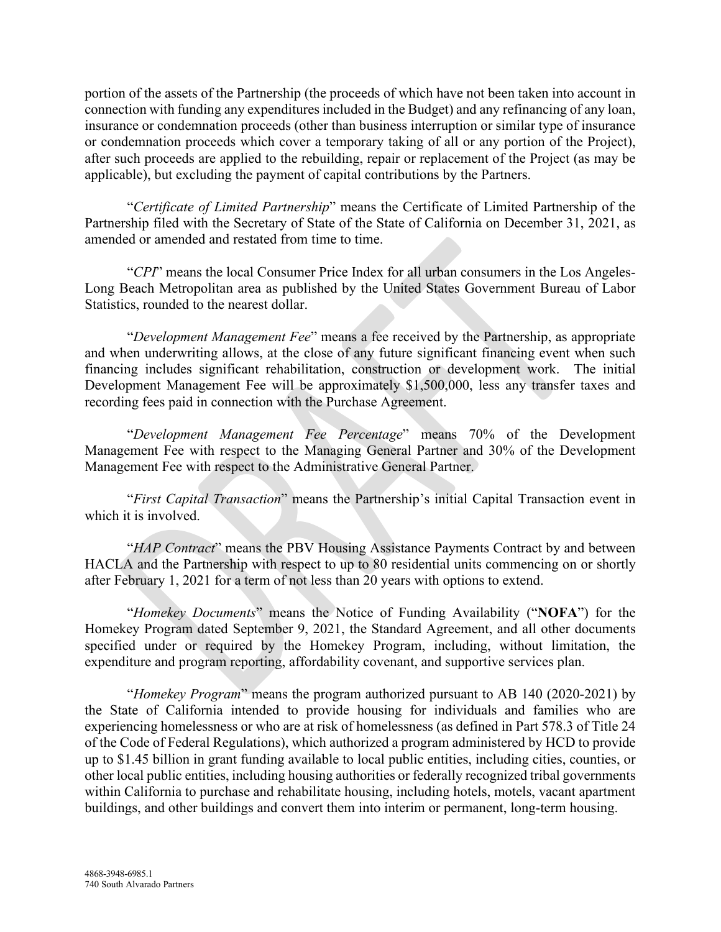portion of the assets of the Partnership (the proceeds of which have not been taken into account in connection with funding any expenditures included in the Budget) and any refinancing of any loan, insurance or condemnation proceeds (other than business interruption or similar type of insurance or condemnation proceeds which cover a temporary taking of all or any portion of the Project), after such proceeds are applied to the rebuilding, repair or replacement of the Project (as may be applicable), but excluding the payment of capital contributions by the Partners.

"*Certificate of Limited Partnership*" means the Certificate of Limited Partnership of the Partnership filed with the Secretary of State of the State of California on December 31, 2021, as amended or amended and restated from time to time.

"*CPI*" means the local Consumer Price Index for all urban consumers in the Los Angeles-Long Beach Metropolitan area as published by the United States Government Bureau of Labor Statistics, rounded to the nearest dollar.

"*Development Management Fee*" means a fee received by the Partnership, as appropriate and when underwriting allows, at the close of any future significant financing event when such financing includes significant rehabilitation, construction or development work. The initial Development Management Fee will be approximately \$1,500,000, less any transfer taxes and recording fees paid in connection with the Purchase Agreement.

"*Development Management Fee Percentage*" means 70% of the Development Management Fee with respect to the Managing General Partner and 30% of the Development Management Fee with respect to the Administrative General Partner.

"*First Capital Transaction*" means the Partnership's initial Capital Transaction event in which it is involved.

"*HAP Contract*" means the PBV Housing Assistance Payments Contract by and between HACLA and the Partnership with respect to up to 80 residential units commencing on or shortly after February 1, 2021 for a term of not less than 20 years with options to extend.

"*Homekey Documents*" means the Notice of Funding Availability ("**NOFA**") for the Homekey Program dated September 9, 2021, the Standard Agreement, and all other documents specified under or required by the Homekey Program, including, without limitation, the expenditure and program reporting, affordability covenant, and supportive services plan.

"*Homekey Program*" means the program authorized pursuant to AB 140 (2020-2021) by the State of California intended to provide housing for individuals and families who are experiencing homelessness or who are at risk of homelessness (as defined in Part 578.3 of Title 24 of the Code of Federal Regulations), which authorized a program administered by HCD to provide up to \$1.45 billion in grant funding available to local public entities, including cities, counties, or other local public entities, including housing authorities or federally recognized tribal governments within California to purchase and rehabilitate housing, including hotels, motels, vacant apartment buildings, and other buildings and convert them into interim or permanent, long-term housing.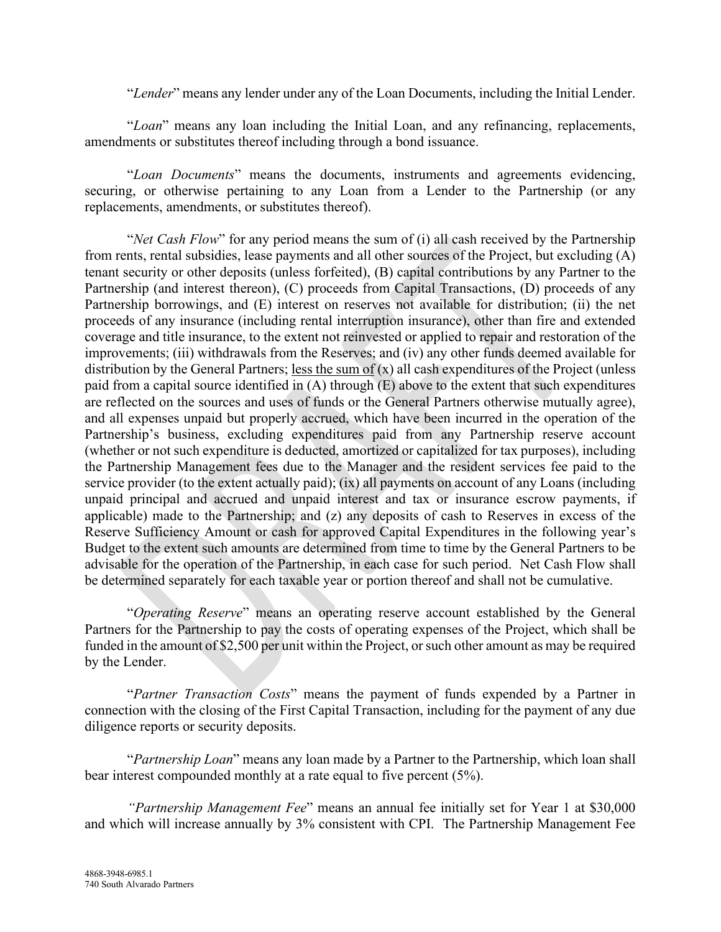"*Lender*" means any lender under any of the Loan Documents, including the Initial Lender.

"*Loan*" means any loan including the Initial Loan, and any refinancing, replacements, amendments or substitutes thereof including through a bond issuance.

"*Loan Documents*" means the documents, instruments and agreements evidencing, securing, or otherwise pertaining to any Loan from a Lender to the Partnership (or any replacements, amendments, or substitutes thereof).

"*Net Cash Flow*" for any period means the sum of (i) all cash received by the Partnership from rents, rental subsidies, lease payments and all other sources of the Project, but excluding (A) tenant security or other deposits (unless forfeited), (B) capital contributions by any Partner to the Partnership (and interest thereon), (C) proceeds from Capital Transactions, (D) proceeds of any Partnership borrowings, and (E) interest on reserves not available for distribution; (ii) the net proceeds of any insurance (including rental interruption insurance), other than fire and extended coverage and title insurance, to the extent not reinvested or applied to repair and restoration of the improvements; (iii) withdrawals from the Reserves; and (iv) any other funds deemed available for distribution by the General Partners; less the sum of  $(x)$  all cash expenditures of the Project (unless paid from a capital source identified in (A) through (E) above to the extent that such expenditures are reflected on the sources and uses of funds or the General Partners otherwise mutually agree), and all expenses unpaid but properly accrued, which have been incurred in the operation of the Partnership's business, excluding expenditures paid from any Partnership reserve account (whether or not such expenditure is deducted, amortized or capitalized for tax purposes), including the Partnership Management fees due to the Manager and the resident services fee paid to the service provider (to the extent actually paid); (ix) all payments on account of any Loans (including unpaid principal and accrued and unpaid interest and tax or insurance escrow payments, if applicable) made to the Partnership; and (z) any deposits of cash to Reserves in excess of the Reserve Sufficiency Amount or cash for approved Capital Expenditures in the following year's Budget to the extent such amounts are determined from time to time by the General Partners to be advisable for the operation of the Partnership, in each case for such period. Net Cash Flow shall be determined separately for each taxable year or portion thereof and shall not be cumulative.

"*Operating Reserve*" means an operating reserve account established by the General Partners for the Partnership to pay the costs of operating expenses of the Project, which shall be funded in the amount of \$2,500 per unit within the Project, or such other amount as may be required by the Lender.

"*Partner Transaction Costs*" means the payment of funds expended by a Partner in connection with the closing of the First Capital Transaction, including for the payment of any due diligence reports or security deposits.

"*Partnership Loan*" means any loan made by a Partner to the Partnership, which loan shall bear interest compounded monthly at a rate equal to five percent (5%).

*"Partnership Management Fee*" means an annual fee initially set for Year 1 at \$30,000 and which will increase annually by 3% consistent with CPI. The Partnership Management Fee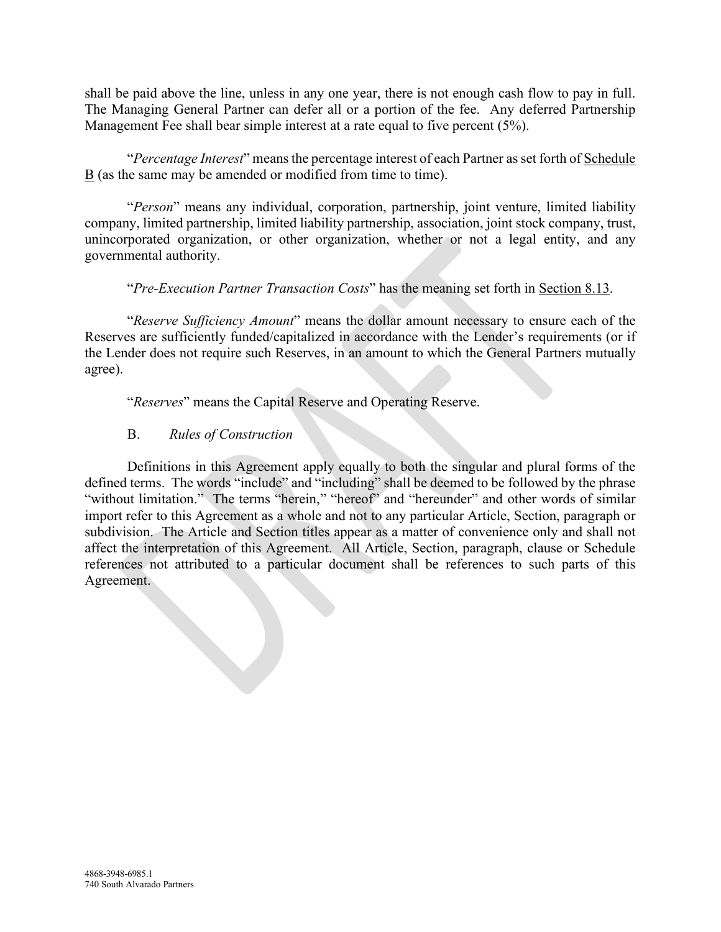shall be paid above the line, unless in any one year, there is not enough cash flow to pay in full. The Managing General Partner can defer all or a portion of the fee. Any deferred Partnership Management Fee shall bear simple interest at a rate equal to five percent (5%).

"*Percentage Interest*" means the percentage interest of each Partner as set forth of Schedule  $\underline{B}$  (as the same may be amended or modified from time to time).

"*Person*" means any individual, corporation, partnership, joint venture, limited liability company, limited partnership, limited liability partnership, association, joint stock company, trust, unincorporated organization, or other organization, whether or not a legal entity, and any governmental authority.

"*Pre-Execution Partner Transaction Costs*" has the meaning set forth in Section 8.13.

"*Reserve Sufficiency Amount*" means the dollar amount necessary to ensure each of the Reserves are sufficiently funded/capitalized in accordance with the Lender's requirements (or if the Lender does not require such Reserves, in an amount to which the General Partners mutually agree).

"*Reserves*" means the Capital Reserve and Operating Reserve.

# B. *Rules of Construction*

Definitions in this Agreement apply equally to both the singular and plural forms of the defined terms. The words "include" and "including" shall be deemed to be followed by the phrase "without limitation." The terms "herein," "hereof" and "hereunder" and other words of similar import refer to this Agreement as a whole and not to any particular Article, Section, paragraph or subdivision. The Article and Section titles appear as a matter of convenience only and shall not affect the interpretation of this Agreement. All Article, Section, paragraph, clause or Schedule references not attributed to a particular document shall be references to such parts of this Agreement.